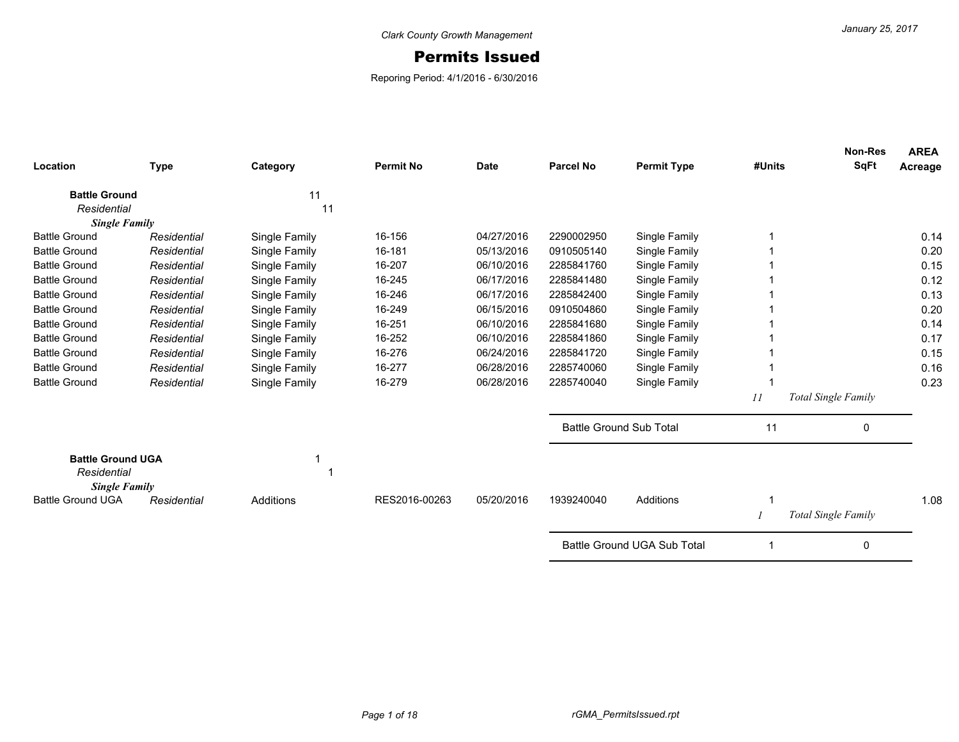## Permits Issued

Reporing Period: 4/1/2016 - 6/30/2016

| Location                                | <b>Type</b>          | Category      | <b>Permit No</b> | <b>Date</b> | <b>Parcel No</b>               | <b>Permit Type</b>          | #Units | <b>Non-Res</b><br><b>SqFt</b> | <b>AREA</b><br>Acreage |
|-----------------------------------------|----------------------|---------------|------------------|-------------|--------------------------------|-----------------------------|--------|-------------------------------|------------------------|
| <b>Battle Ground</b>                    |                      | 11            |                  |             |                                |                             |        |                               |                        |
| Residential                             |                      | 11            |                  |             |                                |                             |        |                               |                        |
| <b>Battle Ground</b>                    | <b>Single Family</b> |               | 16-156           | 04/27/2016  | 2290002950                     |                             |        |                               | 0.14                   |
|                                         | Residential          | Single Family |                  |             |                                | Single Family               |        |                               |                        |
| <b>Battle Ground</b>                    | Residential          | Single Family | 16-181           | 05/13/2016  | 0910505140                     | Single Family               |        |                               | 0.20                   |
| <b>Battle Ground</b>                    | Residential          | Single Family | 16-207           | 06/10/2016  | 2285841760                     | Single Family               |        |                               | 0.15                   |
| <b>Battle Ground</b>                    | Residential          | Single Family | 16-245           | 06/17/2016  | 2285841480                     | Single Family               |        |                               | 0.12                   |
| <b>Battle Ground</b>                    | Residential          | Single Family | 16-246           | 06/17/2016  | 2285842400                     | Single Family               |        |                               | 0.13                   |
| <b>Battle Ground</b>                    | Residential          | Single Family | 16-249           | 06/15/2016  | 0910504860                     | Single Family               |        |                               | 0.20                   |
| <b>Battle Ground</b>                    | Residential          | Single Family | 16-251           | 06/10/2016  | 2285841680                     | Single Family               |        |                               | 0.14                   |
| <b>Battle Ground</b>                    | Residential          | Single Family | 16-252           | 06/10/2016  | 2285841860                     | Single Family               |        |                               | 0.17                   |
| <b>Battle Ground</b>                    | Residential          | Single Family | 16-276           | 06/24/2016  | 2285841720                     | Single Family               |        |                               | 0.15                   |
| <b>Battle Ground</b>                    | Residential          | Single Family | 16-277           | 06/28/2016  | 2285740060                     | Single Family               |        |                               | 0.16                   |
| <b>Battle Ground</b>                    | Residential          | Single Family | 16-279           | 06/28/2016  | 2285740040                     | Single Family               |        |                               | 0.23                   |
|                                         |                      |               |                  |             |                                |                             | 11     | <b>Total Single Family</b>    |                        |
|                                         |                      |               |                  |             | <b>Battle Ground Sub Total</b> |                             | 11     | 0                             |                        |
| <b>Battle Ground UGA</b><br>Residential | <b>Single Family</b> |               |                  |             |                                |                             |        |                               |                        |
| <b>Battle Ground UGA</b>                | Residential          | Additions     | RES2016-00263    | 05/20/2016  | 1939240040                     | Additions                   |        |                               | 1.08                   |
|                                         |                      |               |                  |             |                                |                             |        | Total Single Family           |                        |
|                                         |                      |               |                  |             |                                | Battle Ground UGA Sub Total |        | $\mathbf 0$                   |                        |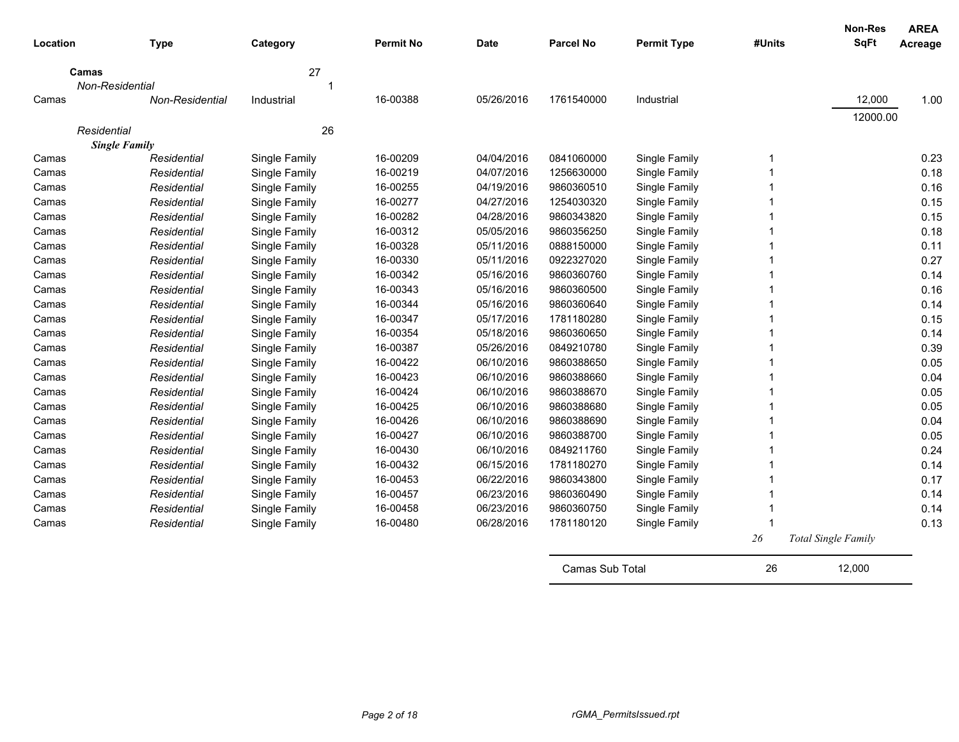| Location | <b>Type</b>                         | Category                       | <b>Permit No</b> | Date       | <b>Parcel No</b> | <b>Permit Type</b> | #Units | <b>Non-Res</b><br><b>SqFt</b> | <b>AREA</b><br>Acreage |
|----------|-------------------------------------|--------------------------------|------------------|------------|------------------|--------------------|--------|-------------------------------|------------------------|
| Camas    |                                     | 27                             |                  |            |                  |                    |        |                               |                        |
|          | Non-Residential                     | 1                              |                  |            |                  |                    |        |                               |                        |
| Camas    | Non-Residential                     | Industrial                     | 16-00388         | 05/26/2016 | 1761540000       | Industrial         |        | 12,000                        | 1.00                   |
|          |                                     |                                |                  |            |                  |                    |        | 12000.00                      |                        |
|          | Residential                         | 26                             |                  |            |                  |                    |        |                               |                        |
| Camas    | <b>Single Family</b><br>Residential |                                | 16-00209         | 04/04/2016 | 0841060000       | Single Family      | 1      |                               | 0.23                   |
| Camas    | Residential                         | Single Family<br>Single Family | 16-00219         | 04/07/2016 | 1256630000       | Single Family      |        |                               | 0.18                   |
| Camas    | Residential                         | Single Family                  | 16-00255         | 04/19/2016 | 9860360510       | Single Family      |        |                               | 0.16                   |
| Camas    | Residential                         | Single Family                  | 16-00277         | 04/27/2016 | 1254030320       | Single Family      |        |                               | 0.15                   |
| Camas    | Residential                         | Single Family                  | 16-00282         | 04/28/2016 | 9860343820       | Single Family      |        |                               | 0.15                   |
| Camas    | Residential                         | Single Family                  | 16-00312         | 05/05/2016 | 9860356250       | Single Family      |        |                               | 0.18                   |
| Camas    | Residential                         | Single Family                  | 16-00328         | 05/11/2016 | 0888150000       | Single Family      |        |                               | 0.11                   |
| Camas    | Residential                         | Single Family                  | 16-00330         | 05/11/2016 | 0922327020       | Single Family      |        |                               | 0.27                   |
| Camas    | Residential                         | Single Family                  | 16-00342         | 05/16/2016 | 9860360760       | Single Family      |        |                               | 0.14                   |
| Camas    | Residential                         | Single Family                  | 16-00343         | 05/16/2016 | 9860360500       | Single Family      |        |                               | 0.16                   |
| Camas    | Residential                         | Single Family                  | 16-00344         | 05/16/2016 | 9860360640       | Single Family      |        |                               | 0.14                   |
| Camas    | Residential                         | Single Family                  | 16-00347         | 05/17/2016 | 1781180280       | Single Family      |        |                               | 0.15                   |
| Camas    | Residential                         | Single Family                  | 16-00354         | 05/18/2016 | 9860360650       | Single Family      |        |                               | 0.14                   |
| Camas    | Residential                         | Single Family                  | 16-00387         | 05/26/2016 | 0849210780       | Single Family      |        |                               | 0.39                   |
| Camas    | Residential                         | Single Family                  | 16-00422         | 06/10/2016 | 9860388650       | Single Family      |        |                               | 0.05                   |
| Camas    | Residential                         | Single Family                  | 16-00423         | 06/10/2016 | 9860388660       | Single Family      |        |                               | 0.04                   |
| Camas    | Residential                         | Single Family                  | 16-00424         | 06/10/2016 | 9860388670       | Single Family      |        |                               | 0.05                   |
| Camas    | Residential                         | Single Family                  | 16-00425         | 06/10/2016 | 9860388680       | Single Family      |        |                               | 0.05                   |
| Camas    | Residential                         | Single Family                  | 16-00426         | 06/10/2016 | 9860388690       | Single Family      |        |                               | 0.04                   |
| Camas    | Residential                         | Single Family                  | 16-00427         | 06/10/2016 | 9860388700       | Single Family      |        |                               | 0.05                   |
| Camas    | Residential                         | Single Family                  | 16-00430         | 06/10/2016 | 0849211760       | Single Family      |        |                               | 0.24                   |
| Camas    | Residential                         | Single Family                  | 16-00432         | 06/15/2016 | 1781180270       | Single Family      |        |                               | 0.14                   |
| Camas    | Residential                         | Single Family                  | 16-00453         | 06/22/2016 | 9860343800       | Single Family      |        |                               | 0.17                   |
| Camas    | Residential                         | Single Family                  | 16-00457         | 06/23/2016 | 9860360490       | Single Family      |        |                               | 0.14                   |
| Camas    | Residential                         | Single Family                  | 16-00458         | 06/23/2016 | 9860360750       | Single Family      |        |                               | 0.14                   |
| Camas    | Residential                         | Single Family                  | 16-00480         | 06/28/2016 | 1781180120       | Single Family      |        |                               | 0.13                   |
|          |                                     |                                |                  |            |                  |                    | 26     | <b>Total Single Family</b>    |                        |
|          |                                     |                                |                  |            | Camas Sub Total  |                    | 26     | 12.000                        |                        |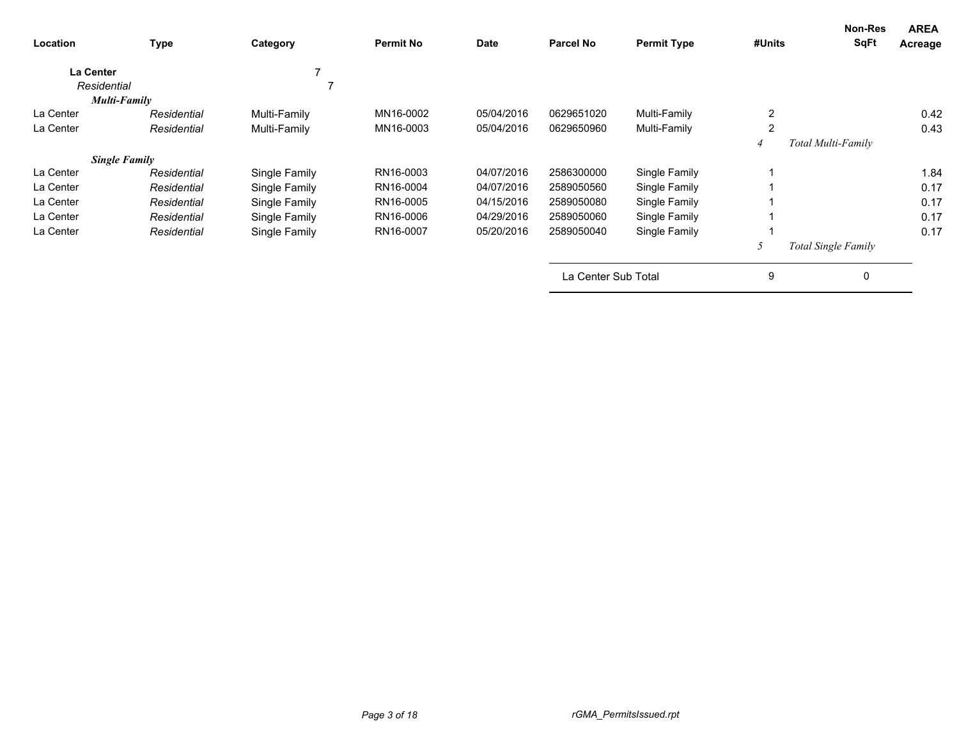| Location                        | <b>Type</b>          | Category      | <b>Permit No</b> | Date       | <b>Parcel No</b>    | <b>Permit Type</b> | #Units         | Non-Res<br><b>SqFt</b> | <b>AREA</b><br>Acreage |
|---------------------------------|----------------------|---------------|------------------|------------|---------------------|--------------------|----------------|------------------------|------------------------|
| <b>La Center</b><br>Residential |                      |               |                  |            |                     |                    |                |                        |                        |
|                                 | <b>Multi-Family</b>  |               |                  |            |                     |                    |                |                        |                        |
| La Center                       | Residential          | Multi-Family  | MN16-0002        | 05/04/2016 | 0629651020          | Multi-Family       | 2              |                        | 0.42                   |
| La Center                       | Residential          | Multi-Family  | MN16-0003        | 05/04/2016 | 0629650960          | Multi-Family       | $\overline{2}$ |                        | 0.43                   |
|                                 |                      |               |                  |            |                     |                    |                | Total Multi-Family     |                        |
|                                 | <b>Single Family</b> |               |                  |            |                     |                    |                |                        |                        |
| La Center                       | Residential          | Single Family | RN16-0003        | 04/07/2016 | 2586300000          | Single Family      |                |                        | 1.84                   |
| La Center                       | Residential          | Single Family | RN16-0004        | 04/07/2016 | 2589050560          | Single Family      |                |                        | 0.17                   |
| La Center                       | Residential          | Single Family | RN16-0005        | 04/15/2016 | 2589050080          | Single Family      |                |                        | 0.17                   |
| La Center                       | Residential          | Single Family | RN16-0006        | 04/29/2016 | 2589050060          | Single Family      |                |                        | 0.17                   |
| La Center                       | Residential          | Single Family | RN16-0007        | 05/20/2016 | 2589050040          | Single Family      |                |                        | 0.17                   |
|                                 |                      |               |                  |            |                     |                    | 5              | Total Single Family    |                        |
|                                 |                      |               |                  |            | La Center Sub Total |                    | 9              | 0                      |                        |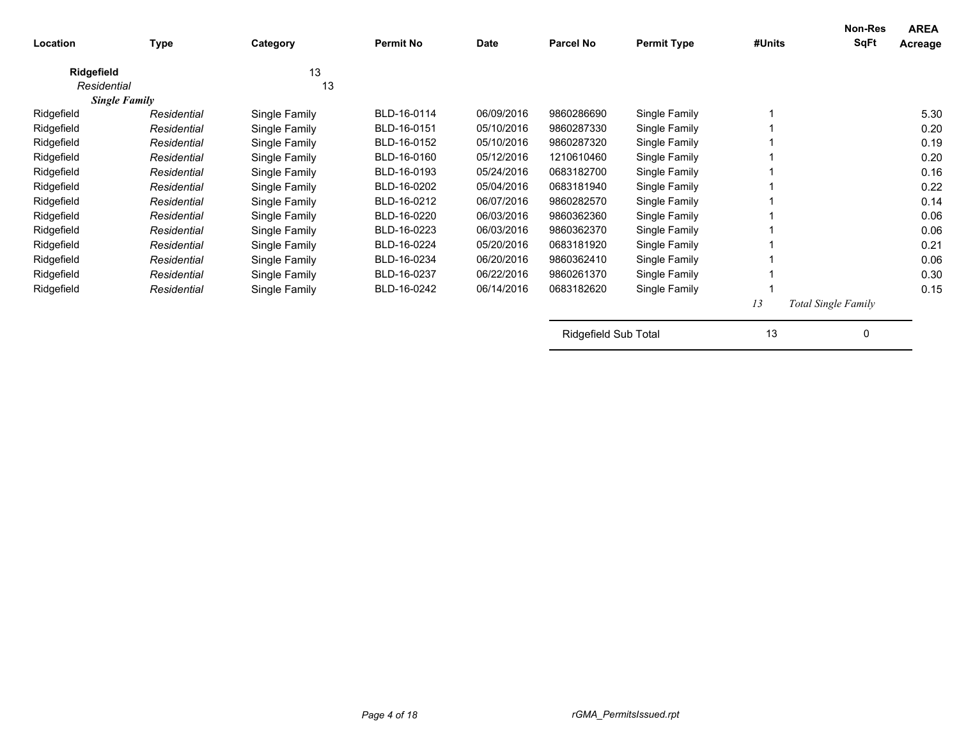| Location    | <b>Type</b>          | Category      | <b>Permit No</b> | Date       | <b>Parcel No</b> | <b>Permit Type</b> | #Units | Non-Res<br><b>SqFt</b>     | <b>AREA</b><br>Acreage |
|-------------|----------------------|---------------|------------------|------------|------------------|--------------------|--------|----------------------------|------------------------|
| Ridgefield  |                      | 13            |                  |            |                  |                    |        |                            |                        |
| Residential |                      | 13            |                  |            |                  |                    |        |                            |                        |
|             | <b>Single Family</b> |               |                  |            |                  |                    |        |                            |                        |
| Ridgefield  | Residential          | Single Family | BLD-16-0114      | 06/09/2016 | 9860286690       | Single Family      |        |                            | 5.30                   |
| Ridgefield  | Residential          | Single Family | BLD-16-0151      | 05/10/2016 | 9860287330       | Single Family      |        |                            | 0.20                   |
| Ridgefield  | Residential          | Single Family | BLD-16-0152      | 05/10/2016 | 9860287320       | Single Family      |        |                            | 0.19                   |
| Ridgefield  | Residential          | Single Family | BLD-16-0160      | 05/12/2016 | 1210610460       | Single Family      |        |                            | 0.20                   |
| Ridgefield  | Residential          | Single Family | BLD-16-0193      | 05/24/2016 | 0683182700       | Single Family      |        |                            | 0.16                   |
| Ridgefield  | Residential          | Single Family | BLD-16-0202      | 05/04/2016 | 0683181940       | Single Family      |        |                            | 0.22                   |
| Ridgefield  | Residential          | Single Family | BLD-16-0212      | 06/07/2016 | 9860282570       | Single Family      |        |                            | 0.14                   |
| Ridgefield  | Residential          | Single Family | BLD-16-0220      | 06/03/2016 | 9860362360       | Single Family      |        |                            | 0.06                   |
| Ridgefield  | Residential          | Single Family | BLD-16-0223      | 06/03/2016 | 9860362370       | Single Family      |        |                            | 0.06                   |
| Ridgefield  | Residential          | Single Family | BLD-16-0224      | 05/20/2016 | 0683181920       | Single Family      |        |                            | 0.21                   |
| Ridgefield  | Residential          | Single Family | BLD-16-0234      | 06/20/2016 | 9860362410       | Single Family      |        |                            | 0.06                   |
| Ridgefield  | Residential          | Single Family | BLD-16-0237      | 06/22/2016 | 9860261370       | Single Family      |        |                            | 0.30                   |
| Ridgefield  | Residential          | Single Family | BLD-16-0242      | 06/14/2016 | 0683182620       | Single Family      |        |                            | 0.15                   |
|             |                      |               |                  |            |                  |                    | 13     | <b>Total Single Family</b> |                        |
|             |                      |               |                  |            |                  |                    |        |                            |                        |

Ridgefield Sub Total 13 0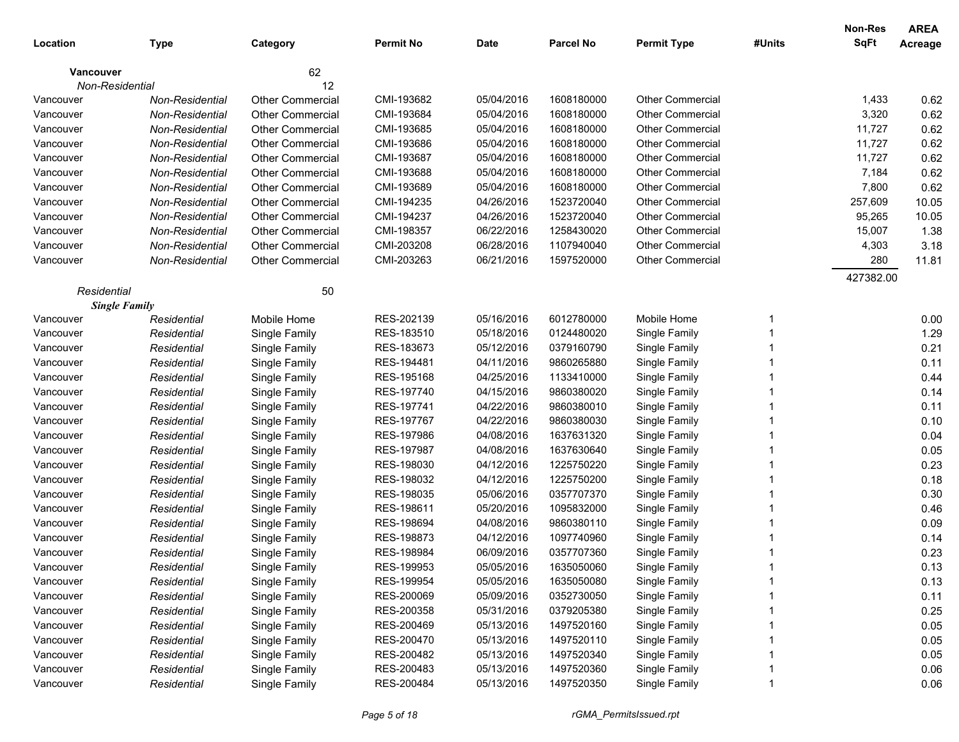|                 |                      |                         |                  |             |                  |                         |        | <b>Non-Res</b> | <b>AREA</b> |
|-----------------|----------------------|-------------------------|------------------|-------------|------------------|-------------------------|--------|----------------|-------------|
| Location        | Type                 | Category                | <b>Permit No</b> | <b>Date</b> | <b>Parcel No</b> | <b>Permit Type</b>      | #Units | <b>SqFt</b>    | Acreage     |
| Vancouver       |                      | 62                      |                  |             |                  |                         |        |                |             |
| Non-Residential |                      | 12                      |                  |             |                  |                         |        |                |             |
| Vancouver       | Non-Residential      | <b>Other Commercial</b> | CMI-193682       | 05/04/2016  | 1608180000       | <b>Other Commercial</b> |        | 1,433          | 0.62        |
| Vancouver       | Non-Residential      | <b>Other Commercial</b> | CMI-193684       | 05/04/2016  | 1608180000       | <b>Other Commercial</b> |        | 3,320          | 0.62        |
| Vancouver       | Non-Residential      | <b>Other Commercial</b> | CMI-193685       | 05/04/2016  | 1608180000       | <b>Other Commercial</b> |        | 11,727         | 0.62        |
| Vancouver       | Non-Residential      | <b>Other Commercial</b> | CMI-193686       | 05/04/2016  | 1608180000       | <b>Other Commercial</b> |        | 11,727         | 0.62        |
| Vancouver       | Non-Residential      | <b>Other Commercial</b> | CMI-193687       | 05/04/2016  | 1608180000       | <b>Other Commercial</b> |        | 11,727         | 0.62        |
| Vancouver       | Non-Residential      | <b>Other Commercial</b> | CMI-193688       | 05/04/2016  | 1608180000       | <b>Other Commercial</b> |        | 7,184          | 0.62        |
| Vancouver       | Non-Residential      | <b>Other Commercial</b> | CMI-193689       | 05/04/2016  | 1608180000       | <b>Other Commercial</b> |        | 7,800          | 0.62        |
| Vancouver       | Non-Residential      | <b>Other Commercial</b> | CMI-194235       | 04/26/2016  | 1523720040       | Other Commercial        |        | 257,609        | 10.05       |
| Vancouver       | Non-Residential      | <b>Other Commercial</b> | CMI-194237       | 04/26/2016  | 1523720040       | Other Commercial        |        | 95,265         | 10.05       |
| Vancouver       | Non-Residential      | <b>Other Commercial</b> | CMI-198357       | 06/22/2016  | 1258430020       | Other Commercial        |        | 15,007         | 1.38        |
| Vancouver       | Non-Residential      | <b>Other Commercial</b> | CMI-203208       | 06/28/2016  | 1107940040       | Other Commercial        |        | 4,303          | 3.18        |
| Vancouver       | Non-Residential      | <b>Other Commercial</b> | CMI-203263       | 06/21/2016  | 1597520000       | <b>Other Commercial</b> |        | 280            | 11.81       |
|                 |                      |                         |                  |             |                  |                         |        | 427382.00      |             |
| Residential     | <b>Single Family</b> | 50                      |                  |             |                  |                         |        |                |             |
| Vancouver       | Residential          | Mobile Home             | RES-202139       | 05/16/2016  | 6012780000       | Mobile Home             | -1     |                | 0.00        |
| Vancouver       | Residential          | Single Family           | RES-183510       | 05/18/2016  | 0124480020       | Single Family           |        |                | 1.29        |
| Vancouver       | Residential          | Single Family           | RES-183673       | 05/12/2016  | 0379160790       | Single Family           |        |                | 0.21        |
| Vancouver       | Residential          | Single Family           | RES-194481       | 04/11/2016  | 9860265880       | Single Family           |        |                | 0.11        |
| Vancouver       | Residential          | Single Family           | RES-195168       | 04/25/2016  | 1133410000       | Single Family           |        |                | 0.44        |
| Vancouver       | Residential          | Single Family           | RES-197740       | 04/15/2016  | 9860380020       | Single Family           |        |                | 0.14        |
| Vancouver       | Residential          | Single Family           | RES-197741       | 04/22/2016  | 9860380010       | Single Family           |        |                | 0.11        |
| Vancouver       | Residential          | Single Family           | RES-197767       | 04/22/2016  | 9860380030       | Single Family           |        |                | 0.10        |
| Vancouver       | Residential          | Single Family           | RES-197986       | 04/08/2016  | 1637631320       | Single Family           |        |                | 0.04        |
| Vancouver       | Residential          | Single Family           | RES-197987       | 04/08/2016  | 1637630640       | Single Family           |        |                | 0.05        |
| Vancouver       | Residential          | Single Family           | RES-198030       | 04/12/2016  | 1225750220       | Single Family           |        |                | 0.23        |
|                 |                      |                         | RES-198032       | 04/12/2016  | 1225750200       | Single Family           |        |                | 0.18        |
| Vancouver       | Residential          | Single Family           | RES-198035       | 05/06/2016  | 0357707370       | Single Family           |        |                | 0.30        |
| Vancouver       | Residential          | Single Family           | RES-198611       | 05/20/2016  | 1095832000       |                         |        |                | 0.46        |
| Vancouver       | Residential          | Single Family           |                  |             |                  | Single Family           |        |                |             |
| Vancouver       | Residential          | Single Family           | RES-198694       | 04/08/2016  | 9860380110       | Single Family           |        |                | 0.09        |
| Vancouver       | Residential          | Single Family           | RES-198873       | 04/12/2016  | 1097740960       | Single Family           |        |                | 0.14        |
| Vancouver       | Residential          | Single Family           | RES-198984       | 06/09/2016  | 0357707360       | Single Family           |        |                | 0.23        |
| Vancouver       | Residential          | Single Family           | RES-199953       | 05/05/2016  | 1635050060       | Single Family           |        |                | 0.13        |
| Vancouver       | Residential          | Single Family           | RES-199954       | 05/05/2016  | 1635050080       | Single Family           |        |                | 0.13        |
| Vancouver       | Residential          | Single Family           | RES-200069       | 05/09/2016  | 0352730050       | Single Family           |        |                | 0.11        |
| Vancouver       | Residential          | Single Family           | RES-200358       | 05/31/2016  | 0379205380       | Single Family           |        |                | 0.25        |
| Vancouver       | Residential          | Single Family           | RES-200469       | 05/13/2016  | 1497520160       | Single Family           |        |                | 0.05        |
| Vancouver       | Residential          | Single Family           | RES-200470       | 05/13/2016  | 1497520110       | Single Family           |        |                | 0.05        |
| Vancouver       | Residential          | Single Family           | RES-200482       | 05/13/2016  | 1497520340       | Single Family           |        |                | 0.05        |
| Vancouver       | Residential          | Single Family           | RES-200483       | 05/13/2016  | 1497520360       | Single Family           |        |                | 0.06        |
| Vancouver       | Residential          | Single Family           | RES-200484       | 05/13/2016  | 1497520350       | Single Family           |        |                | 0.06        |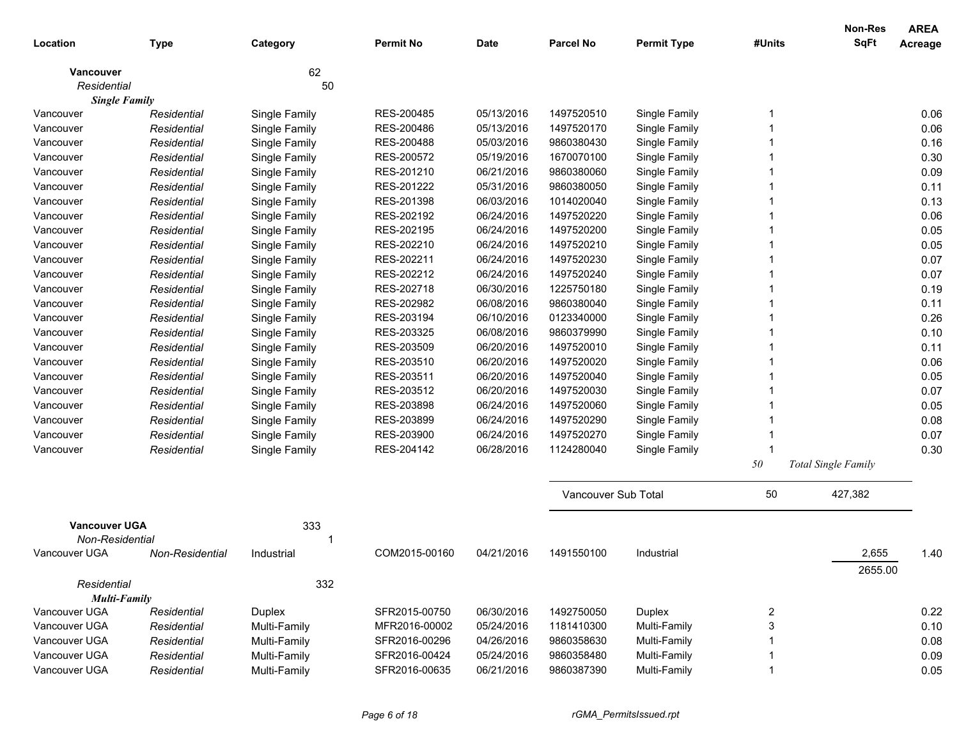|                                    |                 |               |                  |            |                     |                    |                         | <b>Non-Res</b>      | <b>AREA</b> |
|------------------------------------|-----------------|---------------|------------------|------------|---------------------|--------------------|-------------------------|---------------------|-------------|
| Location                           | <b>Type</b>     | Category      | <b>Permit No</b> | Date       | <b>Parcel No</b>    | <b>Permit Type</b> | #Units                  | <b>SqFt</b>         | Acreage     |
| Vancouver                          |                 | 62            |                  |            |                     |                    |                         |                     |             |
| Residential                        |                 | 50            |                  |            |                     |                    |                         |                     |             |
| <b>Single Family</b>               |                 |               |                  |            |                     |                    |                         |                     |             |
| Vancouver                          | Residential     | Single Family | RES-200485       | 05/13/2016 | 1497520510          | Single Family      |                         |                     | 0.06        |
| Vancouver                          | Residential     | Single Family | RES-200486       | 05/13/2016 | 1497520170          | Single Family      |                         |                     | 0.06        |
| Vancouver                          | Residential     | Single Family | RES-200488       | 05/03/2016 | 9860380430          | Single Family      |                         |                     | 0.16        |
| Vancouver                          | Residential     | Single Family | RES-200572       | 05/19/2016 | 1670070100          | Single Family      |                         |                     | 0.30        |
| Vancouver                          | Residential     | Single Family | RES-201210       | 06/21/2016 | 9860380060          | Single Family      |                         |                     | 0.09        |
| Vancouver                          | Residential     | Single Family | RES-201222       | 05/31/2016 | 9860380050          | Single Family      |                         |                     | 0.11        |
| Vancouver                          | Residential     | Single Family | RES-201398       | 06/03/2016 | 1014020040          | Single Family      |                         |                     | 0.13        |
| Vancouver                          | Residential     | Single Family | RES-202192       | 06/24/2016 | 1497520220          | Single Family      |                         |                     | 0.06        |
| Vancouver                          | Residential     | Single Family | RES-202195       | 06/24/2016 | 1497520200          | Single Family      |                         |                     | 0.05        |
| Vancouver                          | Residential     | Single Family | RES-202210       | 06/24/2016 | 1497520210          | Single Family      |                         |                     | 0.05        |
| Vancouver                          | Residential     | Single Family | RES-202211       | 06/24/2016 | 1497520230          | Single Family      |                         |                     | 0.07        |
| Vancouver                          | Residential     | Single Family | RES-202212       | 06/24/2016 | 1497520240          | Single Family      |                         |                     | 0.07        |
| Vancouver                          | Residential     | Single Family | RES-202718       | 06/30/2016 | 1225750180          | Single Family      |                         |                     | 0.19        |
| Vancouver                          | Residential     | Single Family | RES-202982       | 06/08/2016 | 9860380040          | Single Family      |                         |                     | 0.11        |
| Vancouver                          | Residential     | Single Family | RES-203194       | 06/10/2016 | 0123340000          | Single Family      |                         |                     | 0.26        |
| Vancouver                          | Residential     | Single Family | RES-203325       | 06/08/2016 | 9860379990          | Single Family      |                         |                     | 0.10        |
| Vancouver                          | Residential     | Single Family | RES-203509       | 06/20/2016 | 1497520010          | Single Family      |                         |                     | 0.11        |
| Vancouver                          | Residential     | Single Family | RES-203510       | 06/20/2016 | 1497520020          | Single Family      |                         |                     | 0.06        |
| Vancouver                          | Residential     | Single Family | RES-203511       | 06/20/2016 | 1497520040          | Single Family      |                         |                     | 0.05        |
| Vancouver                          | Residential     | Single Family | RES-203512       | 06/20/2016 | 1497520030          | Single Family      |                         |                     | 0.07        |
| Vancouver                          | Residential     | Single Family | RES-203898       | 06/24/2016 | 1497520060          | Single Family      |                         |                     | 0.05        |
| Vancouver                          | Residential     | Single Family | RES-203899       | 06/24/2016 | 1497520290          | Single Family      |                         |                     | 0.08        |
| Vancouver                          | Residential     | Single Family | RES-203900       | 06/24/2016 | 1497520270          | Single Family      |                         |                     | 0.07        |
| Vancouver                          | Residential     | Single Family | RES-204142       | 06/28/2016 | 1124280040          | Single Family      |                         |                     | 0.30        |
|                                    |                 |               |                  |            |                     |                    | $5\theta$               | Total Single Family |             |
|                                    |                 |               |                  |            | Vancouver Sub Total |                    | 50                      | 427,382             |             |
| <b>Vancouver UGA</b>               |                 | 333           |                  |            |                     |                    |                         |                     |             |
| Non-Residential                    |                 |               |                  |            |                     |                    |                         |                     |             |
| Vancouver UGA                      | Non-Residential | Industrial    | COM2015-00160    | 04/21/2016 | 1491550100          | Industrial         |                         | 2,655<br>2655.00    | 1.40        |
| Residential<br><b>Multi-Family</b> |                 | 332           |                  |            |                     |                    |                         |                     |             |
| Vancouver UGA                      | Residential     | <b>Duplex</b> | SFR2015-00750    | 06/30/2016 | 1492750050          | Duplex             | $\overline{\mathbf{c}}$ |                     | 0.22        |
| Vancouver UGA                      | Residential     | Multi-Family  | MFR2016-00002    | 05/24/2016 | 1181410300          | Multi-Family       | 3                       |                     | 0.10        |
| Vancouver UGA                      | Residential     | Multi-Family  | SFR2016-00296    | 04/26/2016 | 9860358630          | Multi-Family       |                         |                     | 0.08        |
| Vancouver UGA                      | Residential     | Multi-Family  | SFR2016-00424    | 05/24/2016 | 9860358480          | Multi-Family       |                         |                     | 0.09        |
| Vancouver UGA                      | Residential     | Multi-Family  | SFR2016-00635    | 06/21/2016 | 9860387390          | Multi-Family       | $\mathbf 1$             |                     | 0.05        |
|                                    |                 |               |                  |            |                     |                    |                         |                     |             |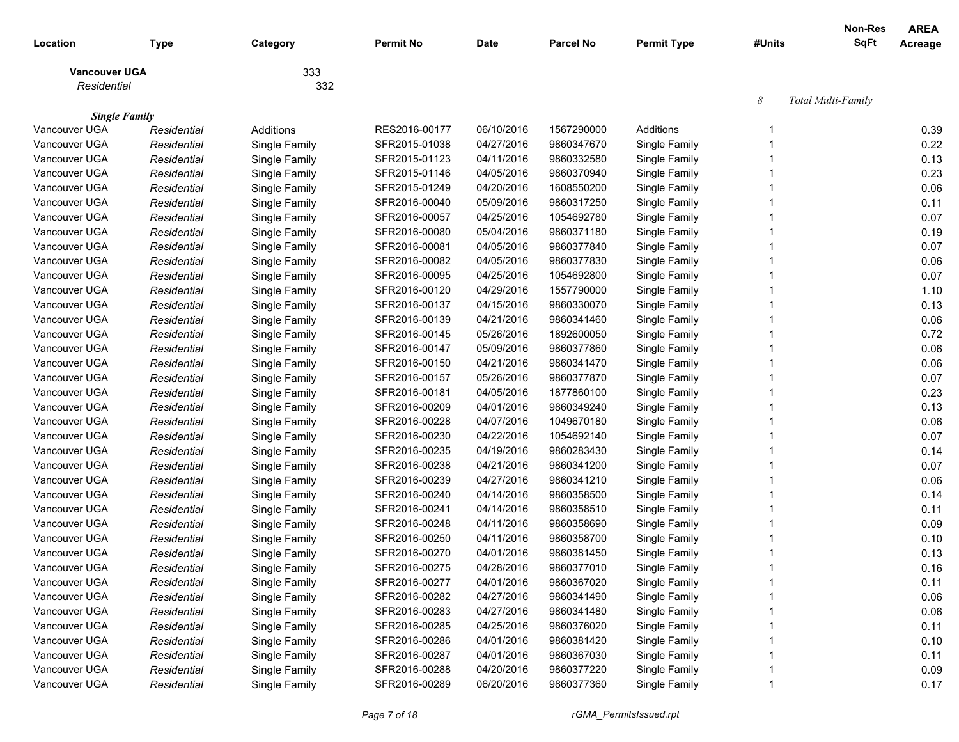| Location             | <b>Type</b> | Category      | <b>Permit No</b> | Date       | <b>Parcel No</b> | <b>Permit Type</b> | #Units | Non-Res<br>SqFt    | <b>AREA</b><br>Acreage |
|----------------------|-------------|---------------|------------------|------------|------------------|--------------------|--------|--------------------|------------------------|
| <b>Vancouver UGA</b> |             | 333           |                  |            |                  |                    |        |                    |                        |
| Residential          |             | 332           |                  |            |                  |                    |        |                    |                        |
| <b>Single Family</b> |             |               |                  |            |                  |                    | 8      | Total Multi-Family |                        |
| Vancouver UGA        | Residential | Additions     | RES2016-00177    | 06/10/2016 | 1567290000       | Additions          | 1      |                    | 0.39                   |
| Vancouver UGA        | Residential | Single Family | SFR2015-01038    | 04/27/2016 | 9860347670       | Single Family      |        |                    | 0.22                   |
| Vancouver UGA        | Residential | Single Family | SFR2015-01123    | 04/11/2016 | 9860332580       | Single Family      | 1      |                    | 0.13                   |
| Vancouver UGA        | Residential | Single Family | SFR2015-01146    | 04/05/2016 | 9860370940       | Single Family      |        |                    | 0.23                   |
| Vancouver UGA        | Residential | Single Family | SFR2015-01249    | 04/20/2016 | 1608550200       | Single Family      |        |                    | 0.06                   |
| Vancouver UGA        | Residential | Single Family | SFR2016-00040    | 05/09/2016 | 9860317250       | Single Family      |        |                    | 0.11                   |
| Vancouver UGA        | Residential | Single Family | SFR2016-00057    | 04/25/2016 | 1054692780       | Single Family      |        |                    | 0.07                   |
| Vancouver UGA        | Residential | Single Family | SFR2016-00080    | 05/04/2016 | 9860371180       | Single Family      |        |                    | 0.19                   |
| Vancouver UGA        | Residential | Single Family | SFR2016-00081    | 04/05/2016 | 9860377840       | Single Family      |        |                    | 0.07                   |
| Vancouver UGA        | Residential | Single Family | SFR2016-00082    | 04/05/2016 | 9860377830       | Single Family      |        |                    | 0.06                   |
| Vancouver UGA        | Residential | Single Family | SFR2016-00095    | 04/25/2016 | 1054692800       | Single Family      |        |                    | 0.07                   |
| Vancouver UGA        | Residential | Single Family | SFR2016-00120    | 04/29/2016 | 1557790000       | Single Family      |        |                    | 1.10                   |
| Vancouver UGA        | Residential | Single Family | SFR2016-00137    | 04/15/2016 | 9860330070       | Single Family      |        |                    | 0.13                   |
| Vancouver UGA        | Residential | Single Family | SFR2016-00139    | 04/21/2016 | 9860341460       | Single Family      |        |                    | 0.06                   |
| Vancouver UGA        | Residential | Single Family | SFR2016-00145    | 05/26/2016 | 1892600050       | Single Family      |        |                    | 0.72                   |
| Vancouver UGA        | Residential | Single Family | SFR2016-00147    | 05/09/2016 | 9860377860       | Single Family      | 1      |                    | 0.06                   |
| Vancouver UGA        | Residential | Single Family | SFR2016-00150    | 04/21/2016 | 9860341470       | Single Family      | 1      |                    | 0.06                   |
| Vancouver UGA        | Residential | Single Family | SFR2016-00157    | 05/26/2016 | 9860377870       | Single Family      | 1      |                    | 0.07                   |
| Vancouver UGA        | Residential | Single Family | SFR2016-00181    | 04/05/2016 | 1877860100       | Single Family      | 1      |                    | 0.23                   |
| Vancouver UGA        | Residential | Single Family | SFR2016-00209    | 04/01/2016 | 9860349240       | Single Family      | 1      |                    | 0.13                   |
| Vancouver UGA        | Residential | Single Family | SFR2016-00228    | 04/07/2016 | 1049670180       | Single Family      | 1      |                    | 0.06                   |
| Vancouver UGA        | Residential | Single Family | SFR2016-00230    | 04/22/2016 | 1054692140       | Single Family      | 1      |                    | 0.07                   |
| Vancouver UGA        | Residential | Single Family | SFR2016-00235    | 04/19/2016 | 9860283430       | Single Family      | 1      |                    | 0.14                   |
| Vancouver UGA        | Residential | Single Family | SFR2016-00238    | 04/21/2016 | 9860341200       | Single Family      | 1      |                    | 0.07                   |
| Vancouver UGA        | Residential | Single Family | SFR2016-00239    | 04/27/2016 | 9860341210       | Single Family      | 1      |                    | 0.06                   |
| Vancouver UGA        | Residential | Single Family | SFR2016-00240    | 04/14/2016 | 9860358500       | Single Family      | 1      |                    | 0.14                   |
| Vancouver UGA        | Residential | Single Family | SFR2016-00241    | 04/14/2016 | 9860358510       | Single Family      | 1      |                    | 0.11                   |
| Vancouver UGA        | Residential | Single Family | SFR2016-00248    | 04/11/2016 | 9860358690       | Single Family      | 1      |                    | 0.09                   |
| Vancouver UGA        | Residential | Single Family | SFR2016-00250    | 04/11/2016 | 9860358700       | Single Family      | 1      |                    | 0.10                   |
| Vancouver UGA        | Residential | Single Family | SFR2016-00270    | 04/01/2016 | 9860381450       | Single Family      | 1      |                    | 0.13                   |
| Vancouver UGA        | Residential | Single Family | SFR2016-00275    | 04/28/2016 | 9860377010       | Single Family      |        |                    | 0.16                   |
| Vancouver UGA        | Residential | Single Family | SFR2016-00277    | 04/01/2016 | 9860367020       | Single Family      |        |                    | 0.11                   |
| Vancouver UGA        | Residential | Single Family | SFR2016-00282    | 04/27/2016 | 9860341490       | Single Family      |        |                    | 0.06                   |
| Vancouver UGA        | Residential | Single Family | SFR2016-00283    | 04/27/2016 | 9860341480       | Single Family      |        |                    | 0.06                   |
| Vancouver UGA        | Residential | Single Family | SFR2016-00285    | 04/25/2016 | 9860376020       | Single Family      |        |                    | 0.11                   |
| Vancouver UGA        | Residential | Single Family | SFR2016-00286    | 04/01/2016 | 9860381420       | Single Family      |        |                    | 0.10                   |
| Vancouver UGA        | Residential | Single Family | SFR2016-00287    | 04/01/2016 | 9860367030       | Single Family      |        |                    | 0.11                   |
| Vancouver UGA        | Residential | Single Family | SFR2016-00288    | 04/20/2016 | 9860377220       | Single Family      |        |                    | 0.09                   |
| Vancouver UGA        | Residential | Single Family | SFR2016-00289    | 06/20/2016 | 9860377360       | Single Family      |        |                    | 0.17                   |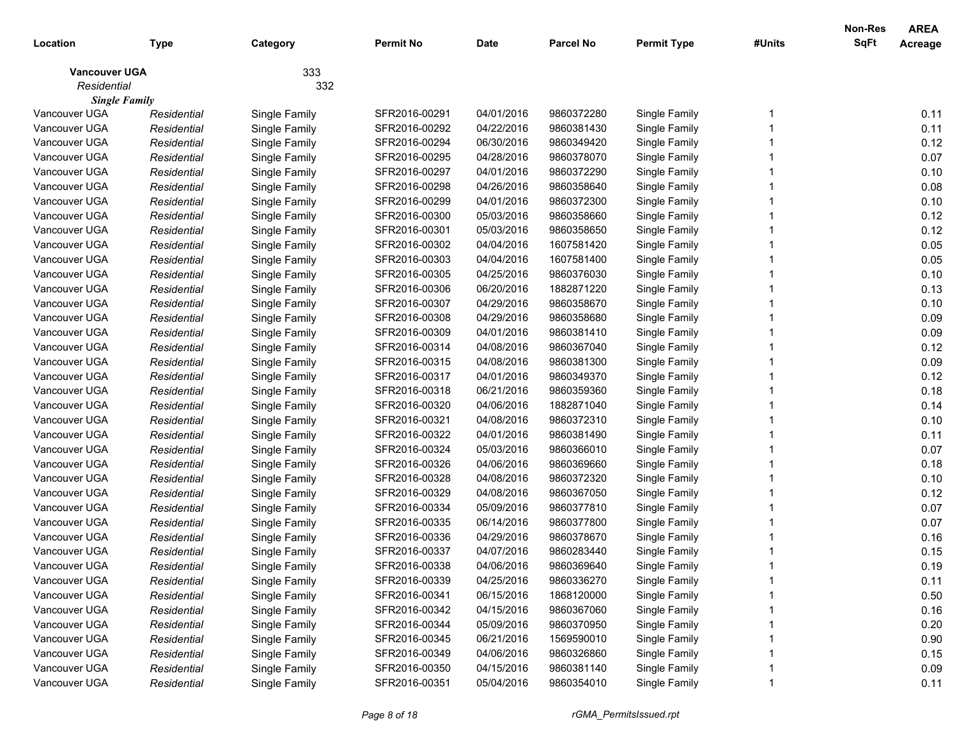| Location             | <b>Type</b> | Category      | <b>Permit No</b> | <b>Date</b> | <b>Parcel No</b> | <b>Permit Type</b> | #Units | Non-Res<br><b>SqFt</b> | <b>AREA</b><br>Acreage |
|----------------------|-------------|---------------|------------------|-------------|------------------|--------------------|--------|------------------------|------------------------|
| <b>Vancouver UGA</b> |             | 333           |                  |             |                  |                    |        |                        |                        |
| Residential          |             | 332           |                  |             |                  |                    |        |                        |                        |
| <b>Single Family</b> |             |               |                  |             |                  |                    |        |                        |                        |
| Vancouver UGA        | Residential | Single Family | SFR2016-00291    | 04/01/2016  | 9860372280       | Single Family      |        |                        | 0.11                   |
| Vancouver UGA        | Residential | Single Family | SFR2016-00292    | 04/22/2016  | 9860381430       | Single Family      |        |                        | 0.11                   |
| Vancouver UGA        | Residential | Single Family | SFR2016-00294    | 06/30/2016  | 9860349420       | Single Family      |        |                        | 0.12                   |
| Vancouver UGA        | Residential | Single Family | SFR2016-00295    | 04/28/2016  | 9860378070       | Single Family      |        |                        | 0.07                   |
| Vancouver UGA        | Residential | Single Family | SFR2016-00297    | 04/01/2016  | 9860372290       | Single Family      |        |                        | 0.10                   |
| Vancouver UGA        | Residential | Single Family | SFR2016-00298    | 04/26/2016  | 9860358640       | Single Family      |        |                        | 0.08                   |
| Vancouver UGA        | Residential | Single Family | SFR2016-00299    | 04/01/2016  | 9860372300       | Single Family      |        |                        | 0.10                   |
| Vancouver UGA        | Residential | Single Family | SFR2016-00300    | 05/03/2016  | 9860358660       | Single Family      |        |                        | 0.12                   |
| Vancouver UGA        | Residential | Single Family | SFR2016-00301    | 05/03/2016  | 9860358650       | Single Family      |        |                        | 0.12                   |
| Vancouver UGA        | Residential | Single Family | SFR2016-00302    | 04/04/2016  | 1607581420       | Single Family      |        |                        | 0.05                   |
| Vancouver UGA        | Residential | Single Family | SFR2016-00303    | 04/04/2016  | 1607581400       | Single Family      |        |                        | 0.05                   |
| Vancouver UGA        | Residential | Single Family | SFR2016-00305    | 04/25/2016  | 9860376030       | Single Family      |        |                        | 0.10                   |
| Vancouver UGA        | Residential | Single Family | SFR2016-00306    | 06/20/2016  | 1882871220       | Single Family      |        |                        | 0.13                   |
| Vancouver UGA        | Residential | Single Family | SFR2016-00307    | 04/29/2016  | 9860358670       | Single Family      |        |                        | 0.10                   |
| Vancouver UGA        | Residential | Single Family | SFR2016-00308    | 04/29/2016  | 9860358680       | Single Family      |        |                        | 0.09                   |
| Vancouver UGA        | Residential | Single Family | SFR2016-00309    | 04/01/2016  | 9860381410       | Single Family      |        |                        | 0.09                   |
| Vancouver UGA        | Residential | Single Family | SFR2016-00314    | 04/08/2016  | 9860367040       | Single Family      |        |                        | 0.12                   |
| Vancouver UGA        | Residential | Single Family | SFR2016-00315    | 04/08/2016  | 9860381300       | Single Family      |        |                        | 0.09                   |
| Vancouver UGA        | Residential | Single Family | SFR2016-00317    | 04/01/2016  | 9860349370       | Single Family      |        |                        | 0.12                   |
| Vancouver UGA        | Residential | Single Family | SFR2016-00318    | 06/21/2016  | 9860359360       | Single Family      |        |                        | 0.18                   |
| Vancouver UGA        | Residential | Single Family | SFR2016-00320    | 04/06/2016  | 1882871040       | Single Family      |        |                        | 0.14                   |
| Vancouver UGA        | Residential | Single Family | SFR2016-00321    | 04/08/2016  | 9860372310       | Single Family      |        |                        | 0.10                   |
| Vancouver UGA        | Residential | Single Family | SFR2016-00322    | 04/01/2016  | 9860381490       | Single Family      |        |                        | 0.11                   |
| Vancouver UGA        | Residential | Single Family | SFR2016-00324    | 05/03/2016  | 9860366010       | Single Family      |        |                        | 0.07                   |
| Vancouver UGA        | Residential | Single Family | SFR2016-00326    | 04/06/2016  | 9860369660       | Single Family      |        |                        | 0.18                   |
| Vancouver UGA        | Residential | Single Family | SFR2016-00328    | 04/08/2016  | 9860372320       | Single Family      |        |                        | 0.10                   |
| Vancouver UGA        | Residential | Single Family | SFR2016-00329    | 04/08/2016  | 9860367050       | Single Family      |        |                        | 0.12                   |
| Vancouver UGA        | Residential | Single Family | SFR2016-00334    | 05/09/2016  | 9860377810       | Single Family      |        |                        | 0.07                   |
| Vancouver UGA        | Residential | Single Family | SFR2016-00335    | 06/14/2016  | 9860377800       | Single Family      |        |                        | 0.07                   |
| Vancouver UGA        | Residential | Single Family | SFR2016-00336    | 04/29/2016  | 9860378670       | Single Family      |        |                        | 0.16                   |
| Vancouver UGA        | Residential | Single Family | SFR2016-00337    | 04/07/2016  | 9860283440       | Single Family      |        |                        | 0.15                   |
| Vancouver UGA        | Residential | Single Family | SFR2016-00338    | 04/06/2016  | 9860369640       | Single Family      |        |                        | 0.19                   |
| Vancouver UGA        | Residential | Single Family | SFR2016-00339    | 04/25/2016  | 9860336270       | Single Family      |        |                        | 0.11                   |
| Vancouver UGA        | Residential | Single Family | SFR2016-00341    | 06/15/2016  | 1868120000       | Single Family      |        |                        | 0.50                   |
| Vancouver UGA        | Residential | Single Family | SFR2016-00342    | 04/15/2016  | 9860367060       | Single Family      |        |                        | 0.16                   |
| Vancouver UGA        | Residential | Single Family | SFR2016-00344    | 05/09/2016  | 9860370950       | Single Family      |        |                        | 0.20                   |
| Vancouver UGA        | Residential | Single Family | SFR2016-00345    | 06/21/2016  | 1569590010       | Single Family      |        |                        | 0.90                   |
| Vancouver UGA        | Residential | Single Family | SFR2016-00349    | 04/06/2016  | 9860326860       | Single Family      |        |                        | 0.15                   |
| Vancouver UGA        | Residential | Single Family | SFR2016-00350    | 04/15/2016  | 9860381140       | Single Family      |        |                        | 0.09                   |
| Vancouver UGA        | Residential | Single Family | SFR2016-00351    | 05/04/2016  | 9860354010       | Single Family      |        |                        | 0.11                   |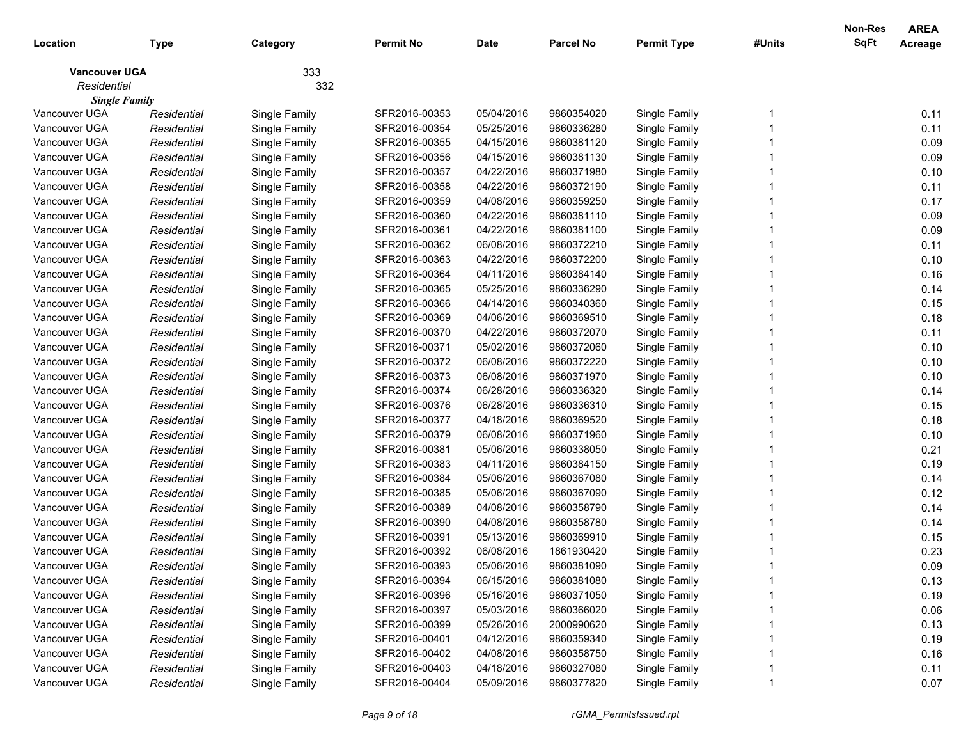| Location             | <b>Type</b> | Category      | <b>Permit No</b> | <b>Date</b> | <b>Parcel No</b> | <b>Permit Type</b> | #Units | Non-Res<br><b>SqFt</b> | <b>AREA</b><br>Acreage |
|----------------------|-------------|---------------|------------------|-------------|------------------|--------------------|--------|------------------------|------------------------|
| <b>Vancouver UGA</b> |             | 333           |                  |             |                  |                    |        |                        |                        |
| Residential          |             | 332           |                  |             |                  |                    |        |                        |                        |
| <b>Single Family</b> |             |               |                  |             |                  |                    |        |                        |                        |
| Vancouver UGA        | Residential | Single Family | SFR2016-00353    | 05/04/2016  | 9860354020       | Single Family      |        |                        | 0.11                   |
| Vancouver UGA        | Residential | Single Family | SFR2016-00354    | 05/25/2016  | 9860336280       | Single Family      |        |                        | 0.11                   |
| Vancouver UGA        | Residential | Single Family | SFR2016-00355    | 04/15/2016  | 9860381120       | Single Family      |        |                        | 0.09                   |
| Vancouver UGA        | Residential | Single Family | SFR2016-00356    | 04/15/2016  | 9860381130       | Single Family      |        |                        | 0.09                   |
| Vancouver UGA        | Residential | Single Family | SFR2016-00357    | 04/22/2016  | 9860371980       | Single Family      |        |                        | 0.10                   |
| Vancouver UGA        | Residential | Single Family | SFR2016-00358    | 04/22/2016  | 9860372190       | Single Family      |        |                        | 0.11                   |
| Vancouver UGA        | Residential | Single Family | SFR2016-00359    | 04/08/2016  | 9860359250       | Single Family      |        |                        | 0.17                   |
| Vancouver UGA        | Residential | Single Family | SFR2016-00360    | 04/22/2016  | 9860381110       | Single Family      |        |                        | 0.09                   |
| Vancouver UGA        | Residential | Single Family | SFR2016-00361    | 04/22/2016  | 9860381100       | Single Family      |        |                        | 0.09                   |
| Vancouver UGA        | Residential | Single Family | SFR2016-00362    | 06/08/2016  | 9860372210       | Single Family      |        |                        | 0.11                   |
| Vancouver UGA        | Residential | Single Family | SFR2016-00363    | 04/22/2016  | 9860372200       | Single Family      |        |                        | 0.10                   |
| Vancouver UGA        | Residential | Single Family | SFR2016-00364    | 04/11/2016  | 9860384140       | Single Family      |        |                        | 0.16                   |
| Vancouver UGA        | Residential | Single Family | SFR2016-00365    | 05/25/2016  | 9860336290       | Single Family      |        |                        | 0.14                   |
| Vancouver UGA        | Residential | Single Family | SFR2016-00366    | 04/14/2016  | 9860340360       | Single Family      |        |                        | 0.15                   |
| Vancouver UGA        | Residential | Single Family | SFR2016-00369    | 04/06/2016  | 9860369510       | Single Family      |        |                        | 0.18                   |
| Vancouver UGA        | Residential | Single Family | SFR2016-00370    | 04/22/2016  | 9860372070       | Single Family      |        |                        | 0.11                   |
| Vancouver UGA        | Residential | Single Family | SFR2016-00371    | 05/02/2016  | 9860372060       | Single Family      |        |                        | 0.10                   |
| Vancouver UGA        | Residential | Single Family | SFR2016-00372    | 06/08/2016  | 9860372220       | Single Family      |        |                        | 0.10                   |
| Vancouver UGA        | Residential | Single Family | SFR2016-00373    | 06/08/2016  | 9860371970       | Single Family      |        |                        | 0.10                   |
| Vancouver UGA        | Residential | Single Family | SFR2016-00374    | 06/28/2016  | 9860336320       | Single Family      |        |                        | 0.14                   |
| Vancouver UGA        | Residential | Single Family | SFR2016-00376    | 06/28/2016  | 9860336310       | Single Family      |        |                        | 0.15                   |
| Vancouver UGA        | Residential | Single Family | SFR2016-00377    | 04/18/2016  | 9860369520       | Single Family      |        |                        | 0.18                   |
| Vancouver UGA        | Residential | Single Family | SFR2016-00379    | 06/08/2016  | 9860371960       | Single Family      |        |                        | 0.10                   |
| Vancouver UGA        | Residential | Single Family | SFR2016-00381    | 05/06/2016  | 9860338050       | Single Family      |        |                        | 0.21                   |
| Vancouver UGA        | Residential | Single Family | SFR2016-00383    | 04/11/2016  | 9860384150       | Single Family      |        |                        | 0.19                   |
| Vancouver UGA        | Residential | Single Family | SFR2016-00384    | 05/06/2016  | 9860367080       | Single Family      |        |                        | 0.14                   |
| Vancouver UGA        | Residential | Single Family | SFR2016-00385    | 05/06/2016  | 9860367090       | Single Family      |        |                        | 0.12                   |
| Vancouver UGA        | Residential | Single Family | SFR2016-00389    | 04/08/2016  | 9860358790       | Single Family      |        |                        | 0.14                   |
| Vancouver UGA        | Residential | Single Family | SFR2016-00390    | 04/08/2016  | 9860358780       | Single Family      |        |                        | 0.14                   |
| Vancouver UGA        | Residential | Single Family | SFR2016-00391    | 05/13/2016  | 9860369910       | Single Family      |        |                        | 0.15                   |
| Vancouver UGA        | Residential | Single Family | SFR2016-00392    | 06/08/2016  | 1861930420       | Single Family      |        |                        | 0.23                   |
| Vancouver UGA        | Residential | Single Family | SFR2016-00393    | 05/06/2016  | 9860381090       | Single Family      |        |                        | 0.09                   |
| Vancouver UGA        | Residential | Single Family | SFR2016-00394    | 06/15/2016  | 9860381080       | Single Family      |        |                        | 0.13                   |
| Vancouver UGA        | Residential | Single Family | SFR2016-00396    | 05/16/2016  | 9860371050       | Single Family      |        |                        | 0.19                   |
| Vancouver UGA        | Residential | Single Family | SFR2016-00397    | 05/03/2016  | 9860366020       | Single Family      |        |                        | 0.06                   |
| Vancouver UGA        | Residential | Single Family | SFR2016-00399    | 05/26/2016  | 2000990620       | Single Family      |        |                        | 0.13                   |
| Vancouver UGA        | Residential | Single Family | SFR2016-00401    | 04/12/2016  | 9860359340       | Single Family      |        |                        | 0.19                   |
| Vancouver UGA        | Residential | Single Family | SFR2016-00402    | 04/08/2016  | 9860358750       | Single Family      |        |                        | 0.16                   |
| Vancouver UGA        | Residential | Single Family | SFR2016-00403    | 04/18/2016  | 9860327080       | Single Family      |        |                        | 0.11                   |
| Vancouver UGA        | Residential | Single Family | SFR2016-00404    | 05/09/2016  | 9860377820       | Single Family      |        |                        | 0.07                   |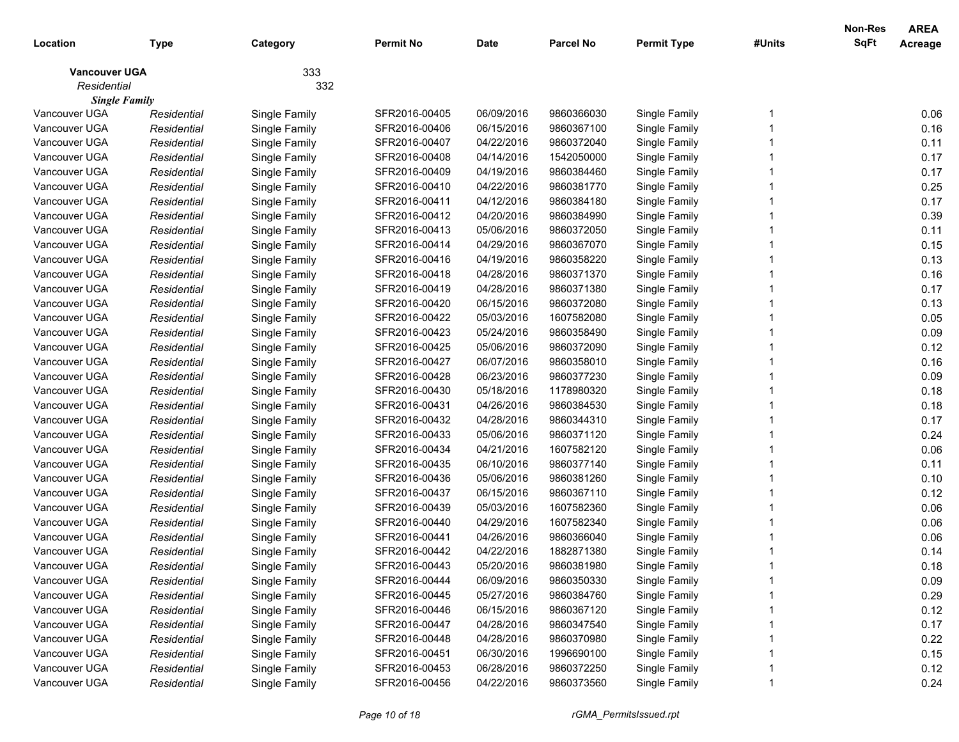| Location             | <b>Type</b> | Category      | <b>Permit No</b> | <b>Date</b> | <b>Parcel No</b> | <b>Permit Type</b> | #Units | Non-Res<br>SqFt | <b>AREA</b><br>Acreage |
|----------------------|-------------|---------------|------------------|-------------|------------------|--------------------|--------|-----------------|------------------------|
| <b>Vancouver UGA</b> |             | 333           |                  |             |                  |                    |        |                 |                        |
| Residential          |             | 332           |                  |             |                  |                    |        |                 |                        |
| <b>Single Family</b> |             |               |                  |             |                  |                    |        |                 |                        |
| Vancouver UGA        | Residential | Single Family | SFR2016-00405    | 06/09/2016  | 9860366030       | Single Family      |        |                 | 0.06                   |
| Vancouver UGA        | Residential | Single Family | SFR2016-00406    | 06/15/2016  | 9860367100       | Single Family      |        |                 | 0.16                   |
| Vancouver UGA        | Residential | Single Family | SFR2016-00407    | 04/22/2016  | 9860372040       | Single Family      |        |                 | 0.11                   |
| Vancouver UGA        | Residential | Single Family | SFR2016-00408    | 04/14/2016  | 1542050000       | Single Family      |        |                 | 0.17                   |
| Vancouver UGA        | Residential | Single Family | SFR2016-00409    | 04/19/2016  | 9860384460       | Single Family      |        |                 | 0.17                   |
| Vancouver UGA        | Residential | Single Family | SFR2016-00410    | 04/22/2016  | 9860381770       | Single Family      |        |                 | 0.25                   |
| Vancouver UGA        | Residential | Single Family | SFR2016-00411    | 04/12/2016  | 9860384180       | Single Family      |        |                 | 0.17                   |
| Vancouver UGA        | Residential | Single Family | SFR2016-00412    | 04/20/2016  | 9860384990       | Single Family      |        |                 | 0.39                   |
| Vancouver UGA        | Residential | Single Family | SFR2016-00413    | 05/06/2016  | 9860372050       | Single Family      |        |                 | 0.11                   |
| Vancouver UGA        | Residential | Single Family | SFR2016-00414    | 04/29/2016  | 9860367070       | Single Family      |        |                 | 0.15                   |
| Vancouver UGA        | Residential | Single Family | SFR2016-00416    | 04/19/2016  | 9860358220       | Single Family      |        |                 | 0.13                   |
| Vancouver UGA        | Residential | Single Family | SFR2016-00418    | 04/28/2016  | 9860371370       | Single Family      |        |                 | 0.16                   |
| Vancouver UGA        | Residential | Single Family | SFR2016-00419    | 04/28/2016  | 9860371380       | Single Family      |        |                 | 0.17                   |
| Vancouver UGA        | Residential | Single Family | SFR2016-00420    | 06/15/2016  | 9860372080       | Single Family      |        |                 | 0.13                   |
| Vancouver UGA        | Residential | Single Family | SFR2016-00422    | 05/03/2016  | 1607582080       | Single Family      |        |                 | 0.05                   |
| Vancouver UGA        | Residential | Single Family | SFR2016-00423    | 05/24/2016  | 9860358490       | Single Family      |        |                 | 0.09                   |
| Vancouver UGA        | Residential | Single Family | SFR2016-00425    | 05/06/2016  | 9860372090       | Single Family      |        |                 | 0.12                   |
| Vancouver UGA        | Residential | Single Family | SFR2016-00427    | 06/07/2016  | 9860358010       | Single Family      |        |                 | 0.16                   |
| Vancouver UGA        | Residential | Single Family | SFR2016-00428    | 06/23/2016  | 9860377230       | Single Family      |        |                 | 0.09                   |
| Vancouver UGA        | Residential | Single Family | SFR2016-00430    | 05/18/2016  | 1178980320       | Single Family      |        |                 | 0.18                   |
| Vancouver UGA        | Residential | Single Family | SFR2016-00431    | 04/26/2016  | 9860384530       | Single Family      |        |                 | 0.18                   |
| Vancouver UGA        | Residential | Single Family | SFR2016-00432    | 04/28/2016  | 9860344310       | Single Family      |        |                 | 0.17                   |
| Vancouver UGA        | Residential | Single Family | SFR2016-00433    | 05/06/2016  | 9860371120       | Single Family      |        |                 | 0.24                   |
| Vancouver UGA        | Residential | Single Family | SFR2016-00434    | 04/21/2016  | 1607582120       | Single Family      |        |                 | 0.06                   |
| Vancouver UGA        | Residential | Single Family | SFR2016-00435    | 06/10/2016  | 9860377140       | Single Family      |        |                 | 0.11                   |
| Vancouver UGA        | Residential | Single Family | SFR2016-00436    | 05/06/2016  | 9860381260       | Single Family      |        |                 | 0.10                   |
| Vancouver UGA        | Residential | Single Family | SFR2016-00437    | 06/15/2016  | 9860367110       | Single Family      |        |                 | 0.12                   |
| Vancouver UGA        | Residential | Single Family | SFR2016-00439    | 05/03/2016  | 1607582360       | Single Family      |        |                 | 0.06                   |
| Vancouver UGA        | Residential | Single Family | SFR2016-00440    | 04/29/2016  | 1607582340       | Single Family      |        |                 | 0.06                   |
| Vancouver UGA        | Residential | Single Family | SFR2016-00441    | 04/26/2016  | 9860366040       | Single Family      |        |                 | 0.06                   |
| Vancouver UGA        | Residential | Single Family | SFR2016-00442    | 04/22/2016  | 1882871380       | Single Family      |        |                 | 0.14                   |
| Vancouver UGA        | Residential | Single Family | SFR2016-00443    | 05/20/2016  | 9860381980       | Single Family      |        |                 | 0.18                   |
| Vancouver UGA        | Residential | Single Family | SFR2016-00444    | 06/09/2016  | 9860350330       | Single Family      |        |                 | 0.09                   |
| Vancouver UGA        | Residential | Single Family | SFR2016-00445    | 05/27/2016  | 9860384760       | Single Family      |        |                 | 0.29                   |
| Vancouver UGA        | Residential | Single Family | SFR2016-00446    | 06/15/2016  | 9860367120       | Single Family      |        |                 | 0.12                   |
| Vancouver UGA        | Residential | Single Family | SFR2016-00447    | 04/28/2016  | 9860347540       | Single Family      |        |                 | 0.17                   |
| Vancouver UGA        | Residential | Single Family | SFR2016-00448    | 04/28/2016  | 9860370980       | Single Family      |        |                 | 0.22                   |
| Vancouver UGA        | Residential | Single Family | SFR2016-00451    | 06/30/2016  | 1996690100       | Single Family      |        |                 | 0.15                   |
| Vancouver UGA        | Residential | Single Family | SFR2016-00453    | 06/28/2016  | 9860372250       | Single Family      |        |                 | 0.12                   |
| Vancouver UGA        | Residential | Single Family | SFR2016-00456    | 04/22/2016  | 9860373560       | Single Family      |        |                 | 0.24                   |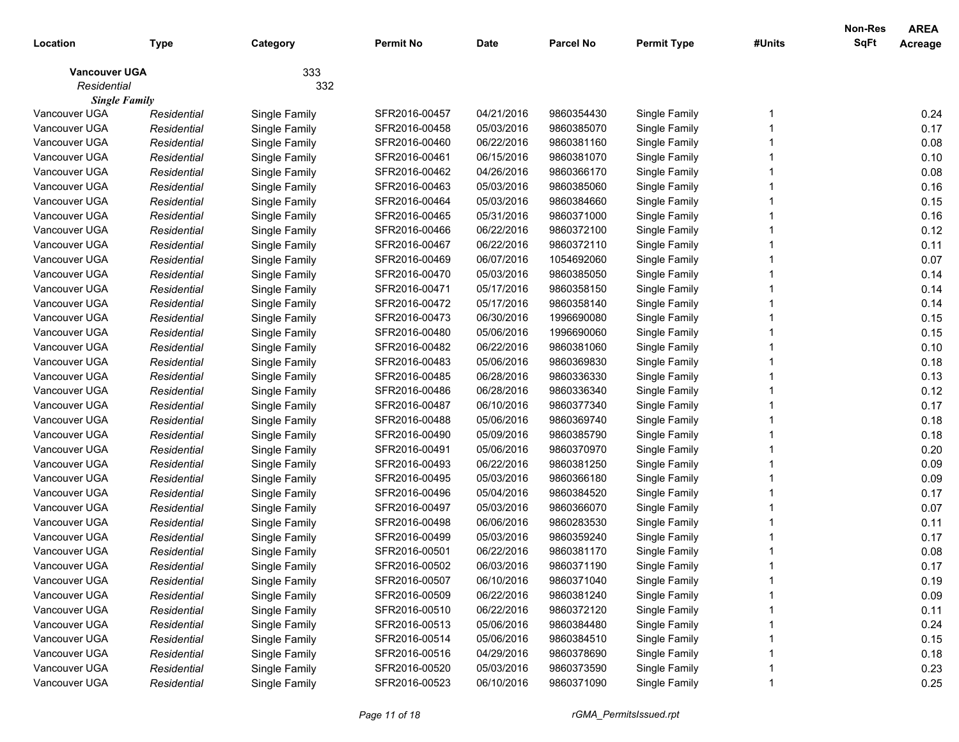| Location             | <b>Type</b> | Category      | <b>Permit No</b> | <b>Date</b> | <b>Parcel No</b> | <b>Permit Type</b> | #Units | Non-Res<br>SqFt | <b>AREA</b><br>Acreage |
|----------------------|-------------|---------------|------------------|-------------|------------------|--------------------|--------|-----------------|------------------------|
| <b>Vancouver UGA</b> |             | 333           |                  |             |                  |                    |        |                 |                        |
| Residential          |             | 332           |                  |             |                  |                    |        |                 |                        |
| <b>Single Family</b> |             |               |                  |             |                  |                    |        |                 |                        |
| Vancouver UGA        | Residential | Single Family | SFR2016-00457    | 04/21/2016  | 9860354430       | Single Family      |        |                 | 0.24                   |
| Vancouver UGA        | Residential | Single Family | SFR2016-00458    | 05/03/2016  | 9860385070       | Single Family      |        |                 | 0.17                   |
| Vancouver UGA        | Residential | Single Family | SFR2016-00460    | 06/22/2016  | 9860381160       | Single Family      |        |                 | 0.08                   |
| Vancouver UGA        | Residential | Single Family | SFR2016-00461    | 06/15/2016  | 9860381070       | Single Family      |        |                 | 0.10                   |
| Vancouver UGA        | Residential | Single Family | SFR2016-00462    | 04/26/2016  | 9860366170       | Single Family      |        |                 | 0.08                   |
| Vancouver UGA        | Residential | Single Family | SFR2016-00463    | 05/03/2016  | 9860385060       | Single Family      |        |                 | 0.16                   |
| Vancouver UGA        | Residential | Single Family | SFR2016-00464    | 05/03/2016  | 9860384660       | Single Family      |        |                 | 0.15                   |
| Vancouver UGA        | Residential | Single Family | SFR2016-00465    | 05/31/2016  | 9860371000       | Single Family      |        |                 | 0.16                   |
| Vancouver UGA        | Residential | Single Family | SFR2016-00466    | 06/22/2016  | 9860372100       | Single Family      |        |                 | 0.12                   |
| Vancouver UGA        | Residential | Single Family | SFR2016-00467    | 06/22/2016  | 9860372110       | Single Family      |        |                 | 0.11                   |
| Vancouver UGA        | Residential | Single Family | SFR2016-00469    | 06/07/2016  | 1054692060       | Single Family      |        |                 | 0.07                   |
| Vancouver UGA        | Residential | Single Family | SFR2016-00470    | 05/03/2016  | 9860385050       | Single Family      |        |                 | 0.14                   |
| Vancouver UGA        | Residential | Single Family | SFR2016-00471    | 05/17/2016  | 9860358150       | Single Family      |        |                 | 0.14                   |
| Vancouver UGA        | Residential | Single Family | SFR2016-00472    | 05/17/2016  | 9860358140       | Single Family      |        |                 | 0.14                   |
| Vancouver UGA        | Residential | Single Family | SFR2016-00473    | 06/30/2016  | 1996690080       | Single Family      |        |                 | 0.15                   |
| Vancouver UGA        | Residential | Single Family | SFR2016-00480    | 05/06/2016  | 1996690060       | Single Family      |        |                 | 0.15                   |
| Vancouver UGA        | Residential | Single Family | SFR2016-00482    | 06/22/2016  | 9860381060       | Single Family      |        |                 | 0.10                   |
| Vancouver UGA        | Residential | Single Family | SFR2016-00483    | 05/06/2016  | 9860369830       | Single Family      |        |                 | 0.18                   |
| Vancouver UGA        | Residential | Single Family | SFR2016-00485    | 06/28/2016  | 9860336330       | Single Family      |        |                 | 0.13                   |
| Vancouver UGA        | Residential | Single Family | SFR2016-00486    | 06/28/2016  | 9860336340       | Single Family      |        |                 | 0.12                   |
| Vancouver UGA        | Residential | Single Family | SFR2016-00487    | 06/10/2016  | 9860377340       | Single Family      |        |                 | 0.17                   |
| Vancouver UGA        | Residential | Single Family | SFR2016-00488    | 05/06/2016  | 9860369740       | Single Family      |        |                 | 0.18                   |
| Vancouver UGA        | Residential | Single Family | SFR2016-00490    | 05/09/2016  | 9860385790       | Single Family      |        |                 | 0.18                   |
| Vancouver UGA        | Residential | Single Family | SFR2016-00491    | 05/06/2016  | 9860370970       | Single Family      |        |                 | 0.20                   |
| Vancouver UGA        | Residential | Single Family | SFR2016-00493    | 06/22/2016  | 9860381250       | Single Family      |        |                 | 0.09                   |
| Vancouver UGA        | Residential | Single Family | SFR2016-00495    | 05/03/2016  | 9860366180       | Single Family      |        |                 | 0.09                   |
| Vancouver UGA        | Residential | Single Family | SFR2016-00496    | 05/04/2016  | 9860384520       | Single Family      |        |                 | 0.17                   |
| Vancouver UGA        | Residential | Single Family | SFR2016-00497    | 05/03/2016  | 9860366070       | Single Family      |        |                 | 0.07                   |
| Vancouver UGA        | Residential | Single Family | SFR2016-00498    | 06/06/2016  | 9860283530       | Single Family      |        |                 | 0.11                   |
| Vancouver UGA        | Residential | Single Family | SFR2016-00499    | 05/03/2016  | 9860359240       | Single Family      |        |                 | 0.17                   |
| Vancouver UGA        | Residential | Single Family | SFR2016-00501    | 06/22/2016  | 9860381170       | Single Family      |        |                 | 0.08                   |
| Vancouver UGA        | Residential | Single Family | SFR2016-00502    | 06/03/2016  | 9860371190       | Single Family      |        |                 | 0.17                   |
| Vancouver UGA        | Residential | Single Family | SFR2016-00507    | 06/10/2016  | 9860371040       | Single Family      |        |                 | 0.19                   |
| Vancouver UGA        | Residential | Single Family | SFR2016-00509    | 06/22/2016  | 9860381240       | Single Family      |        |                 | 0.09                   |
| Vancouver UGA        | Residential | Single Family | SFR2016-00510    | 06/22/2016  | 9860372120       | Single Family      |        |                 | 0.11                   |
| Vancouver UGA        | Residential | Single Family | SFR2016-00513    | 05/06/2016  | 9860384480       | Single Family      |        |                 | 0.24                   |
| Vancouver UGA        | Residential | Single Family | SFR2016-00514    | 05/06/2016  | 9860384510       | Single Family      |        |                 | 0.15                   |
| Vancouver UGA        | Residential | Single Family | SFR2016-00516    | 04/29/2016  | 9860378690       | Single Family      |        |                 | 0.18                   |
| Vancouver UGA        | Residential | Single Family | SFR2016-00520    | 05/03/2016  | 9860373590       | Single Family      |        |                 | 0.23                   |
| Vancouver UGA        | Residential | Single Family | SFR2016-00523    | 06/10/2016  | 9860371090       | Single Family      |        |                 | 0.25                   |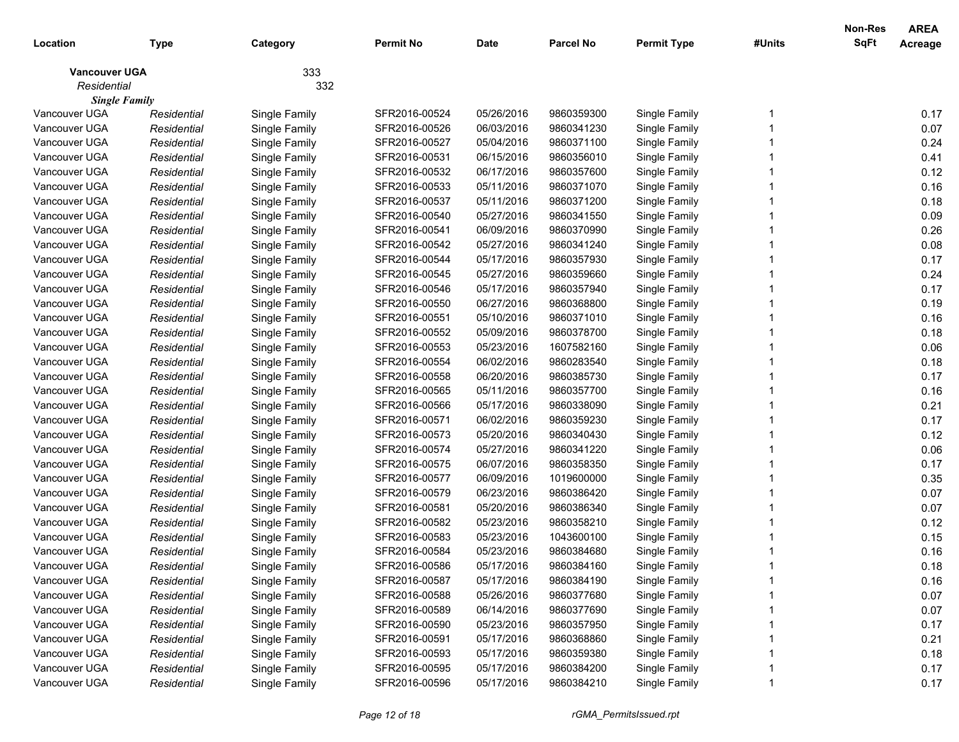| Location             | <b>Type</b> | Category      | <b>Permit No</b> | <b>Date</b> | <b>Parcel No</b> | <b>Permit Type</b> | #Units | Non-Res<br><b>SqFt</b> | <b>AREA</b><br>Acreage |
|----------------------|-------------|---------------|------------------|-------------|------------------|--------------------|--------|------------------------|------------------------|
| <b>Vancouver UGA</b> |             | 333           |                  |             |                  |                    |        |                        |                        |
| Residential          |             | 332           |                  |             |                  |                    |        |                        |                        |
| <b>Single Family</b> |             |               |                  |             |                  |                    |        |                        |                        |
| Vancouver UGA        | Residential | Single Family | SFR2016-00524    | 05/26/2016  | 9860359300       | Single Family      |        |                        | 0.17                   |
| Vancouver UGA        | Residential | Single Family | SFR2016-00526    | 06/03/2016  | 9860341230       | Single Family      |        |                        | 0.07                   |
| Vancouver UGA        | Residential | Single Family | SFR2016-00527    | 05/04/2016  | 9860371100       | Single Family      |        |                        | 0.24                   |
| Vancouver UGA        | Residential | Single Family | SFR2016-00531    | 06/15/2016  | 9860356010       | Single Family      |        |                        | 0.41                   |
| Vancouver UGA        | Residential | Single Family | SFR2016-00532    | 06/17/2016  | 9860357600       | Single Family      |        |                        | 0.12                   |
| Vancouver UGA        | Residential | Single Family | SFR2016-00533    | 05/11/2016  | 9860371070       | Single Family      |        |                        | 0.16                   |
| Vancouver UGA        | Residential | Single Family | SFR2016-00537    | 05/11/2016  | 9860371200       | Single Family      |        |                        | 0.18                   |
| Vancouver UGA        | Residential | Single Family | SFR2016-00540    | 05/27/2016  | 9860341550       | Single Family      |        |                        | 0.09                   |
| Vancouver UGA        | Residential | Single Family | SFR2016-00541    | 06/09/2016  | 9860370990       | Single Family      |        |                        | 0.26                   |
| Vancouver UGA        | Residential | Single Family | SFR2016-00542    | 05/27/2016  | 9860341240       | Single Family      |        |                        | 0.08                   |
| Vancouver UGA        | Residential | Single Family | SFR2016-00544    | 05/17/2016  | 9860357930       | Single Family      |        |                        | 0.17                   |
| Vancouver UGA        | Residential | Single Family | SFR2016-00545    | 05/27/2016  | 9860359660       | Single Family      |        |                        | 0.24                   |
| Vancouver UGA        | Residential | Single Family | SFR2016-00546    | 05/17/2016  | 9860357940       | Single Family      |        |                        | 0.17                   |
| Vancouver UGA        | Residential | Single Family | SFR2016-00550    | 06/27/2016  | 9860368800       | Single Family      |        |                        | 0.19                   |
| Vancouver UGA        | Residential | Single Family | SFR2016-00551    | 05/10/2016  | 9860371010       | Single Family      |        |                        | 0.16                   |
| Vancouver UGA        | Residential | Single Family | SFR2016-00552    | 05/09/2016  | 9860378700       | Single Family      |        |                        | 0.18                   |
| Vancouver UGA        | Residential | Single Family | SFR2016-00553    | 05/23/2016  | 1607582160       | Single Family      |        |                        | 0.06                   |
| Vancouver UGA        | Residential | Single Family | SFR2016-00554    | 06/02/2016  | 9860283540       | Single Family      |        |                        | 0.18                   |
| Vancouver UGA        | Residential | Single Family | SFR2016-00558    | 06/20/2016  | 9860385730       | Single Family      |        |                        | 0.17                   |
| Vancouver UGA        | Residential | Single Family | SFR2016-00565    | 05/11/2016  | 9860357700       | Single Family      |        |                        | 0.16                   |
| Vancouver UGA        | Residential | Single Family | SFR2016-00566    | 05/17/2016  | 9860338090       | Single Family      |        |                        | 0.21                   |
| Vancouver UGA        | Residential | Single Family | SFR2016-00571    | 06/02/2016  | 9860359230       | Single Family      |        |                        | 0.17                   |
| Vancouver UGA        | Residential | Single Family | SFR2016-00573    | 05/20/2016  | 9860340430       | Single Family      |        |                        | 0.12                   |
| Vancouver UGA        | Residential | Single Family | SFR2016-00574    | 05/27/2016  | 9860341220       | Single Family      |        |                        | 0.06                   |
| Vancouver UGA        | Residential | Single Family | SFR2016-00575    | 06/07/2016  | 9860358350       | Single Family      |        |                        | 0.17                   |
| Vancouver UGA        | Residential | Single Family | SFR2016-00577    | 06/09/2016  | 1019600000       | Single Family      |        |                        | 0.35                   |
| Vancouver UGA        | Residential | Single Family | SFR2016-00579    | 06/23/2016  | 9860386420       | Single Family      |        |                        | 0.07                   |
| Vancouver UGA        | Residential | Single Family | SFR2016-00581    | 05/20/2016  | 9860386340       | Single Family      |        |                        | 0.07                   |
| Vancouver UGA        | Residential | Single Family | SFR2016-00582    | 05/23/2016  | 9860358210       | Single Family      |        |                        | 0.12                   |
| Vancouver UGA        | Residential | Single Family | SFR2016-00583    | 05/23/2016  | 1043600100       | Single Family      |        |                        | 0.15                   |
| Vancouver UGA        | Residential | Single Family | SFR2016-00584    | 05/23/2016  | 9860384680       | Single Family      |        |                        | 0.16                   |
| Vancouver UGA        | Residential | Single Family | SFR2016-00586    | 05/17/2016  | 9860384160       | Single Family      |        |                        | 0.18                   |
| Vancouver UGA        | Residential | Single Family | SFR2016-00587    | 05/17/2016  | 9860384190       | Single Family      |        |                        | 0.16                   |
| Vancouver UGA        | Residential | Single Family | SFR2016-00588    | 05/26/2016  | 9860377680       | Single Family      |        |                        | 0.07                   |
| Vancouver UGA        | Residential | Single Family | SFR2016-00589    | 06/14/2016  | 9860377690       | Single Family      |        |                        | 0.07                   |
| Vancouver UGA        | Residential | Single Family | SFR2016-00590    | 05/23/2016  | 9860357950       | Single Family      |        |                        | 0.17                   |
| Vancouver UGA        | Residential | Single Family | SFR2016-00591    | 05/17/2016  | 9860368860       | Single Family      |        |                        | 0.21                   |
| Vancouver UGA        | Residential | Single Family | SFR2016-00593    | 05/17/2016  | 9860359380       | Single Family      |        |                        | 0.18                   |
| Vancouver UGA        | Residential | Single Family | SFR2016-00595    | 05/17/2016  | 9860384200       | Single Family      |        |                        | 0.17                   |
| Vancouver UGA        | Residential | Single Family | SFR2016-00596    | 05/17/2016  | 9860384210       | Single Family      |        |                        | 0.17                   |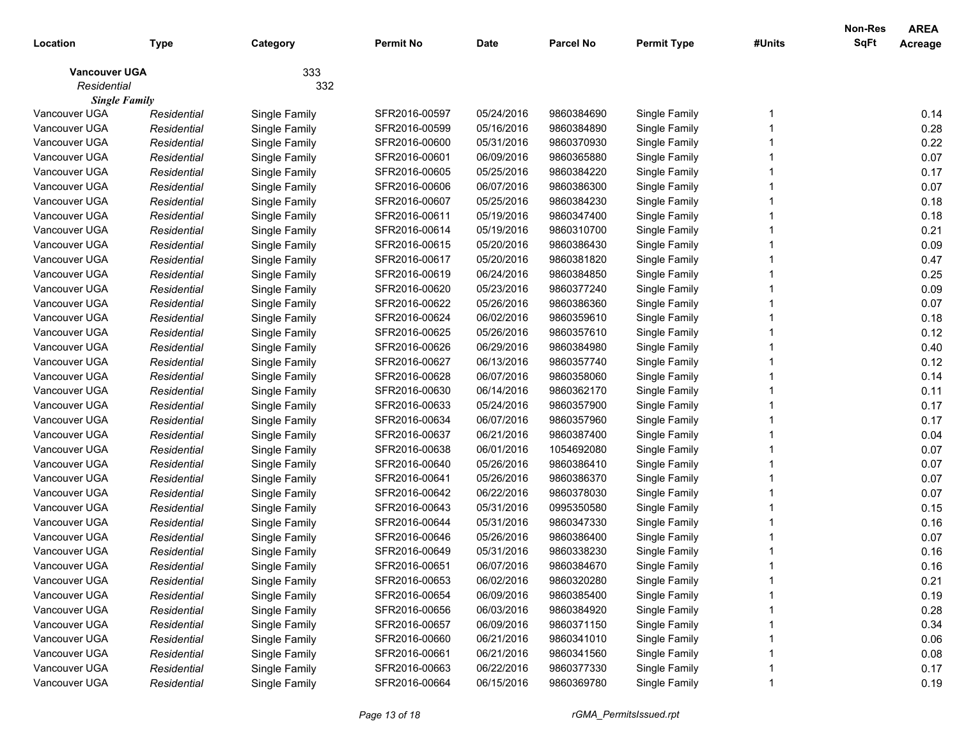| Location             | <b>Type</b> | Category      | <b>Permit No</b> | <b>Date</b> | <b>Parcel No</b> | <b>Permit Type</b> | #Units | Non-Res<br>SqFt | <b>AREA</b><br>Acreage |
|----------------------|-------------|---------------|------------------|-------------|------------------|--------------------|--------|-----------------|------------------------|
| <b>Vancouver UGA</b> |             | 333           |                  |             |                  |                    |        |                 |                        |
| Residential          |             | 332           |                  |             |                  |                    |        |                 |                        |
| <b>Single Family</b> |             |               |                  |             |                  |                    |        |                 |                        |
| Vancouver UGA        | Residential | Single Family | SFR2016-00597    | 05/24/2016  | 9860384690       | Single Family      |        |                 | 0.14                   |
| Vancouver UGA        | Residential | Single Family | SFR2016-00599    | 05/16/2016  | 9860384890       | Single Family      |        |                 | 0.28                   |
| Vancouver UGA        | Residential | Single Family | SFR2016-00600    | 05/31/2016  | 9860370930       | Single Family      |        |                 | 0.22                   |
| Vancouver UGA        | Residential | Single Family | SFR2016-00601    | 06/09/2016  | 9860365880       | Single Family      |        |                 | 0.07                   |
| Vancouver UGA        | Residential | Single Family | SFR2016-00605    | 05/25/2016  | 9860384220       | Single Family      |        |                 | 0.17                   |
| Vancouver UGA        | Residential | Single Family | SFR2016-00606    | 06/07/2016  | 9860386300       | Single Family      |        |                 | 0.07                   |
| Vancouver UGA        | Residential | Single Family | SFR2016-00607    | 05/25/2016  | 9860384230       | Single Family      |        |                 | 0.18                   |
| Vancouver UGA        | Residential | Single Family | SFR2016-00611    | 05/19/2016  | 9860347400       | Single Family      |        |                 | 0.18                   |
| Vancouver UGA        | Residential | Single Family | SFR2016-00614    | 05/19/2016  | 9860310700       | Single Family      |        |                 | 0.21                   |
| Vancouver UGA        | Residential | Single Family | SFR2016-00615    | 05/20/2016  | 9860386430       | Single Family      |        |                 | 0.09                   |
| Vancouver UGA        | Residential | Single Family | SFR2016-00617    | 05/20/2016  | 9860381820       | Single Family      |        |                 | 0.47                   |
| Vancouver UGA        | Residential | Single Family | SFR2016-00619    | 06/24/2016  | 9860384850       | Single Family      |        |                 | 0.25                   |
| Vancouver UGA        | Residential | Single Family | SFR2016-00620    | 05/23/2016  | 9860377240       | Single Family      |        |                 | 0.09                   |
| Vancouver UGA        | Residential | Single Family | SFR2016-00622    | 05/26/2016  | 9860386360       | Single Family      |        |                 | 0.07                   |
| Vancouver UGA        | Residential | Single Family | SFR2016-00624    | 06/02/2016  | 9860359610       | Single Family      |        |                 | 0.18                   |
| Vancouver UGA        | Residential | Single Family | SFR2016-00625    | 05/26/2016  | 9860357610       | Single Family      |        |                 | 0.12                   |
| Vancouver UGA        | Residential | Single Family | SFR2016-00626    | 06/29/2016  | 9860384980       | Single Family      |        |                 | 0.40                   |
| Vancouver UGA        | Residential | Single Family | SFR2016-00627    | 06/13/2016  | 9860357740       | Single Family      |        |                 | 0.12                   |
| Vancouver UGA        | Residential | Single Family | SFR2016-00628    | 06/07/2016  | 9860358060       | Single Family      |        |                 | 0.14                   |
| Vancouver UGA        | Residential | Single Family | SFR2016-00630    | 06/14/2016  | 9860362170       | Single Family      |        |                 | 0.11                   |
| Vancouver UGA        | Residential | Single Family | SFR2016-00633    | 05/24/2016  | 9860357900       | Single Family      |        |                 | 0.17                   |
| Vancouver UGA        | Residential | Single Family | SFR2016-00634    | 06/07/2016  | 9860357960       | Single Family      |        |                 | 0.17                   |
| Vancouver UGA        | Residential | Single Family | SFR2016-00637    | 06/21/2016  | 9860387400       | Single Family      |        |                 | 0.04                   |
| Vancouver UGA        | Residential | Single Family | SFR2016-00638    | 06/01/2016  | 1054692080       | Single Family      |        |                 | 0.07                   |
| Vancouver UGA        | Residential | Single Family | SFR2016-00640    | 05/26/2016  | 9860386410       | Single Family      |        |                 | 0.07                   |
| Vancouver UGA        | Residential | Single Family | SFR2016-00641    | 05/26/2016  | 9860386370       | Single Family      |        |                 | 0.07                   |
| Vancouver UGA        | Residential | Single Family | SFR2016-00642    | 06/22/2016  | 9860378030       | Single Family      |        |                 | 0.07                   |
| Vancouver UGA        | Residential | Single Family | SFR2016-00643    | 05/31/2016  | 0995350580       | Single Family      |        |                 | 0.15                   |
| Vancouver UGA        | Residential | Single Family | SFR2016-00644    | 05/31/2016  | 9860347330       | Single Family      |        |                 | 0.16                   |
| Vancouver UGA        | Residential | Single Family | SFR2016-00646    | 05/26/2016  | 9860386400       | Single Family      |        |                 | 0.07                   |
| Vancouver UGA        | Residential | Single Family | SFR2016-00649    | 05/31/2016  | 9860338230       | Single Family      |        |                 | 0.16                   |
| Vancouver UGA        | Residential | Single Family | SFR2016-00651    | 06/07/2016  | 9860384670       | Single Family      |        |                 | 0.16                   |
| Vancouver UGA        | Residential | Single Family | SFR2016-00653    | 06/02/2016  | 9860320280       | Single Family      |        |                 | 0.21                   |
| Vancouver UGA        | Residential | Single Family | SFR2016-00654    | 06/09/2016  | 9860385400       | Single Family      |        |                 | 0.19                   |
| Vancouver UGA        | Residential | Single Family | SFR2016-00656    | 06/03/2016  | 9860384920       | Single Family      |        |                 | 0.28                   |
| Vancouver UGA        | Residential | Single Family | SFR2016-00657    | 06/09/2016  | 9860371150       | Single Family      |        |                 | 0.34                   |
| Vancouver UGA        | Residential | Single Family | SFR2016-00660    | 06/21/2016  | 9860341010       | Single Family      |        |                 | 0.06                   |
| Vancouver UGA        | Residential | Single Family | SFR2016-00661    | 06/21/2016  | 9860341560       | Single Family      |        |                 | 0.08                   |
| Vancouver UGA        | Residential | Single Family | SFR2016-00663    | 06/22/2016  | 9860377330       | Single Family      |        |                 | 0.17                   |
| Vancouver UGA        | Residential | Single Family | SFR2016-00664    | 06/15/2016  | 9860369780       | Single Family      |        |                 | 0.19                   |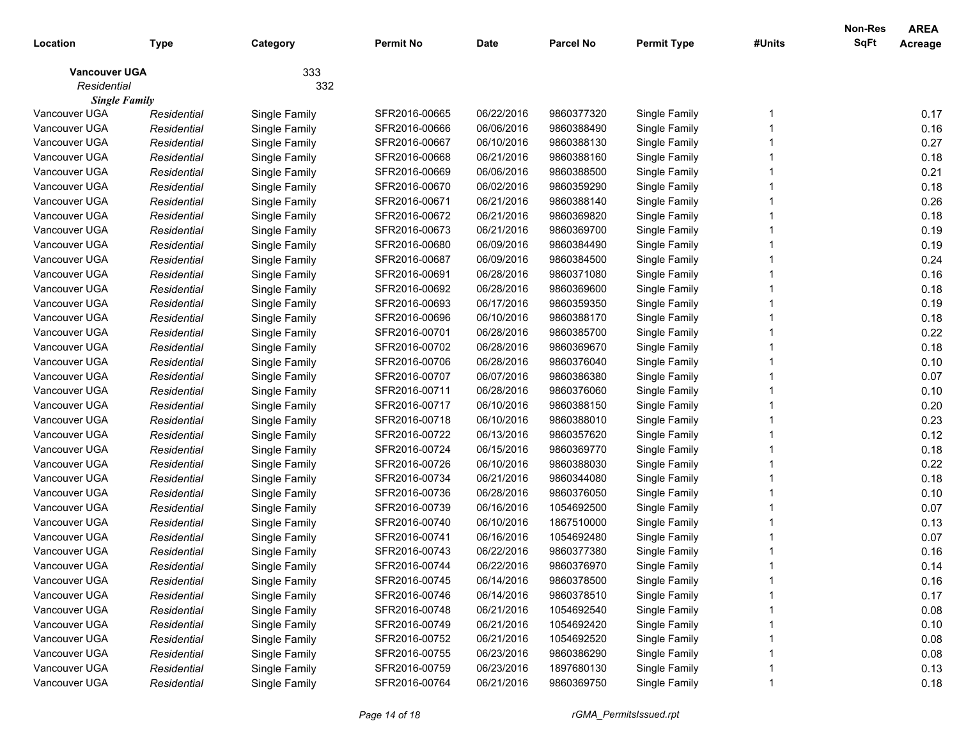| Location             | <b>Type</b> | Category      | <b>Permit No</b> | <b>Date</b> | <b>Parcel No</b> | <b>Permit Type</b> | #Units | <b>Non-Res</b><br>SqFt | <b>AREA</b><br>Acreage |
|----------------------|-------------|---------------|------------------|-------------|------------------|--------------------|--------|------------------------|------------------------|
| <b>Vancouver UGA</b> |             | 333           |                  |             |                  |                    |        |                        |                        |
| Residential          |             | 332           |                  |             |                  |                    |        |                        |                        |
| <b>Single Family</b> |             |               |                  |             |                  |                    |        |                        |                        |
| Vancouver UGA        | Residential | Single Family | SFR2016-00665    | 06/22/2016  | 9860377320       | Single Family      |        |                        | 0.17                   |
| Vancouver UGA        | Residential | Single Family | SFR2016-00666    | 06/06/2016  | 9860388490       | Single Family      |        |                        | 0.16                   |
| Vancouver UGA        | Residential | Single Family | SFR2016-00667    | 06/10/2016  | 9860388130       | Single Family      |        |                        | 0.27                   |
| Vancouver UGA        | Residential | Single Family | SFR2016-00668    | 06/21/2016  | 9860388160       | Single Family      |        |                        | 0.18                   |
| Vancouver UGA        | Residential | Single Family | SFR2016-00669    | 06/06/2016  | 9860388500       | Single Family      |        |                        | 0.21                   |
| Vancouver UGA        | Residential | Single Family | SFR2016-00670    | 06/02/2016  | 9860359290       | Single Family      |        |                        | 0.18                   |
| Vancouver UGA        | Residential | Single Family | SFR2016-00671    | 06/21/2016  | 9860388140       | Single Family      |        |                        | 0.26                   |
| Vancouver UGA        | Residential | Single Family | SFR2016-00672    | 06/21/2016  | 9860369820       | Single Family      |        |                        | 0.18                   |
| Vancouver UGA        | Residential | Single Family | SFR2016-00673    | 06/21/2016  | 9860369700       | Single Family      |        |                        | 0.19                   |
| Vancouver UGA        | Residential | Single Family | SFR2016-00680    | 06/09/2016  | 9860384490       | Single Family      |        |                        | 0.19                   |
| Vancouver UGA        | Residential | Single Family | SFR2016-00687    | 06/09/2016  | 9860384500       | Single Family      |        |                        | 0.24                   |
| Vancouver UGA        | Residential | Single Family | SFR2016-00691    | 06/28/2016  | 9860371080       | Single Family      |        |                        | 0.16                   |
| Vancouver UGA        | Residential | Single Family | SFR2016-00692    | 06/28/2016  | 9860369600       | Single Family      |        |                        | 0.18                   |
| Vancouver UGA        | Residential | Single Family | SFR2016-00693    | 06/17/2016  | 9860359350       | Single Family      |        |                        | 0.19                   |
| Vancouver UGA        | Residential | Single Family | SFR2016-00696    | 06/10/2016  | 9860388170       | Single Family      |        |                        | 0.18                   |
| Vancouver UGA        | Residential | Single Family | SFR2016-00701    | 06/28/2016  | 9860385700       | Single Family      |        |                        | 0.22                   |
| Vancouver UGA        | Residential | Single Family | SFR2016-00702    | 06/28/2016  | 9860369670       | Single Family      |        |                        | 0.18                   |
| Vancouver UGA        | Residential | Single Family | SFR2016-00706    | 06/28/2016  | 9860376040       | Single Family      |        |                        | 0.10                   |
| Vancouver UGA        | Residential | Single Family | SFR2016-00707    | 06/07/2016  | 9860386380       | Single Family      |        |                        | 0.07                   |
| Vancouver UGA        | Residential | Single Family | SFR2016-00711    | 06/28/2016  | 9860376060       | Single Family      |        |                        | 0.10                   |
| Vancouver UGA        | Residential | Single Family | SFR2016-00717    | 06/10/2016  | 9860388150       | Single Family      |        |                        | 0.20                   |
| Vancouver UGA        | Residential | Single Family | SFR2016-00718    | 06/10/2016  | 9860388010       | Single Family      |        |                        | 0.23                   |
| Vancouver UGA        | Residential | Single Family | SFR2016-00722    | 06/13/2016  | 9860357620       | Single Family      |        |                        | 0.12                   |
| Vancouver UGA        | Residential | Single Family | SFR2016-00724    | 06/15/2016  | 9860369770       | Single Family      |        |                        | 0.18                   |
| Vancouver UGA        | Residential | Single Family | SFR2016-00726    | 06/10/2016  | 9860388030       | Single Family      |        |                        | 0.22                   |
| Vancouver UGA        | Residential | Single Family | SFR2016-00734    | 06/21/2016  | 9860344080       | Single Family      |        |                        | 0.18                   |
| Vancouver UGA        | Residential | Single Family | SFR2016-00736    | 06/28/2016  | 9860376050       | Single Family      |        |                        | 0.10                   |
| Vancouver UGA        | Residential | Single Family | SFR2016-00739    | 06/16/2016  | 1054692500       | Single Family      |        |                        | 0.07                   |
| Vancouver UGA        | Residential | Single Family | SFR2016-00740    | 06/10/2016  | 1867510000       | Single Family      |        |                        | 0.13                   |
| Vancouver UGA        | Residential | Single Family | SFR2016-00741    | 06/16/2016  | 1054692480       | Single Family      |        |                        | 0.07                   |
| Vancouver UGA        | Residential | Single Family | SFR2016-00743    | 06/22/2016  | 9860377380       | Single Family      |        |                        | 0.16                   |
| Vancouver UGA        | Residential | Single Family | SFR2016-00744    | 06/22/2016  | 9860376970       | Single Family      |        |                        | 0.14                   |
| Vancouver UGA        | Residential | Single Family | SFR2016-00745    | 06/14/2016  | 9860378500       | Single Family      |        |                        | 0.16                   |
| Vancouver UGA        | Residential | Single Family | SFR2016-00746    | 06/14/2016  | 9860378510       | Single Family      |        |                        | 0.17                   |
| Vancouver UGA        | Residential | Single Family | SFR2016-00748    | 06/21/2016  | 1054692540       | Single Family      |        |                        | 0.08                   |
| Vancouver UGA        | Residential | Single Family | SFR2016-00749    | 06/21/2016  | 1054692420       | Single Family      |        |                        | 0.10                   |
| Vancouver UGA        | Residential | Single Family | SFR2016-00752    | 06/21/2016  | 1054692520       | Single Family      |        |                        | 0.08                   |
| Vancouver UGA        | Residential | Single Family | SFR2016-00755    | 06/23/2016  | 9860386290       | Single Family      |        |                        | 0.08                   |
| Vancouver UGA        | Residential | Single Family | SFR2016-00759    | 06/23/2016  | 1897680130       | Single Family      |        |                        | 0.13                   |
| Vancouver UGA        | Residential | Single Family | SFR2016-00764    | 06/21/2016  | 9860369750       | Single Family      |        |                        | 0.18                   |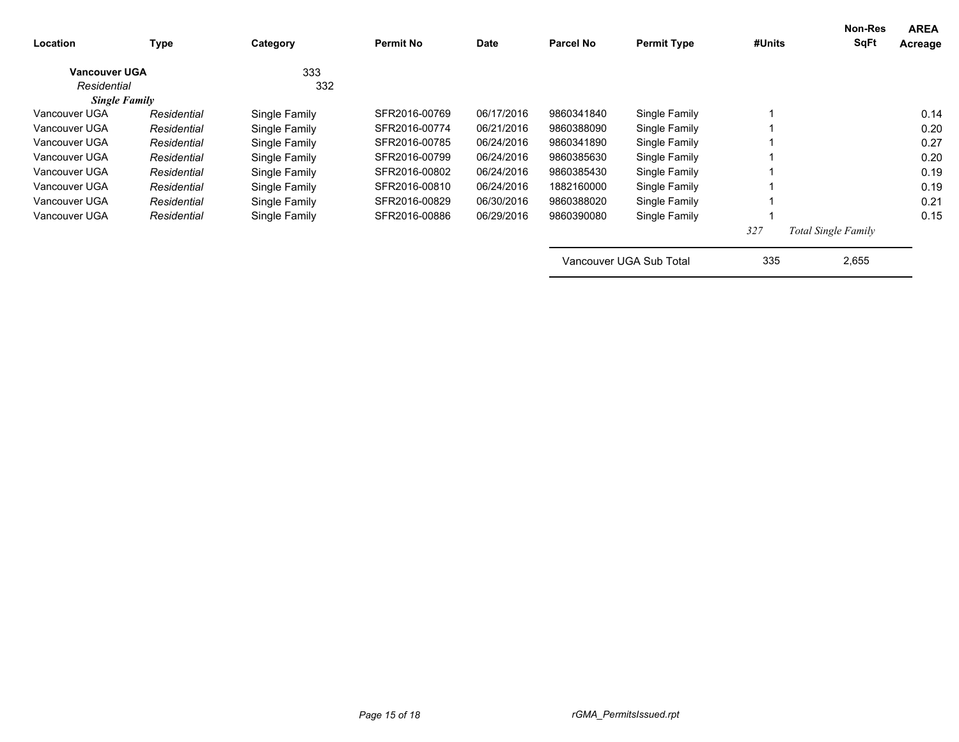| Location             | <b>Type</b> | Category      | <b>Permit No</b> | <b>Date</b> | Parcel No  | <b>Permit Type</b>      | #Units | Non-Res<br><b>SqFt</b>     | <b>AREA</b><br>Acreage |
|----------------------|-------------|---------------|------------------|-------------|------------|-------------------------|--------|----------------------------|------------------------|
| <b>Vancouver UGA</b> |             | 333           |                  |             |            |                         |        |                            |                        |
| Residential          |             | 332           |                  |             |            |                         |        |                            |                        |
| <b>Single Family</b> |             |               |                  |             |            |                         |        |                            |                        |
| Vancouver UGA        | Residential | Single Family | SFR2016-00769    | 06/17/2016  | 9860341840 | Single Family           |        |                            | 0.14                   |
| Vancouver UGA        | Residential | Single Family | SFR2016-00774    | 06/21/2016  | 9860388090 | Single Family           |        |                            | 0.20                   |
| Vancouver UGA        | Residential | Single Family | SFR2016-00785    | 06/24/2016  | 9860341890 | Single Family           |        |                            | 0.27                   |
| Vancouver UGA        | Residential | Single Family | SFR2016-00799    | 06/24/2016  | 9860385630 | Single Family           |        |                            | 0.20                   |
| Vancouver UGA        | Residential | Single Family | SFR2016-00802    | 06/24/2016  | 9860385430 | Single Family           |        |                            | 0.19                   |
| Vancouver UGA        | Residential | Single Family | SFR2016-00810    | 06/24/2016  | 1882160000 | Single Family           |        |                            | 0.19                   |
| Vancouver UGA        | Residential | Single Family | SFR2016-00829    | 06/30/2016  | 9860388020 | Single Family           |        |                            | 0.21                   |
| Vancouver UGA        | Residential | Single Family | SFR2016-00886    | 06/29/2016  | 9860390080 | Single Family           |        |                            | 0.15                   |
|                      |             |               |                  |             |            |                         | 327    | <b>Total Single Family</b> |                        |
|                      |             |               |                  |             |            | Vancouver UGA Sub Total | 335    | 2,655                      |                        |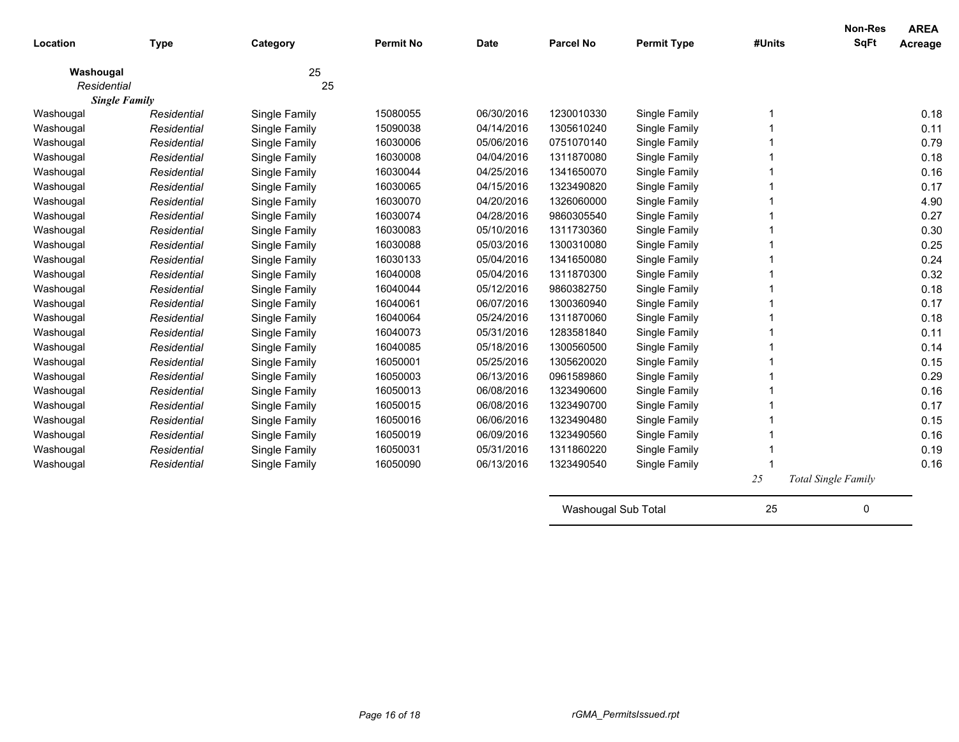| Location    | <b>Type</b>                         | Category      | <b>Permit No</b> | <b>Date</b> | <b>Parcel No</b>    | <b>Permit Type</b> | #Units | <b>Non-Res</b><br><b>SqFt</b> | <b>AREA</b><br>Acreage |
|-------------|-------------------------------------|---------------|------------------|-------------|---------------------|--------------------|--------|-------------------------------|------------------------|
|             |                                     |               |                  |             |                     |                    |        |                               |                        |
| Washougal   |                                     | 25            |                  |             |                     |                    |        |                               |                        |
| Residential |                                     | 25            |                  |             |                     |                    |        |                               |                        |
| Washougal   | <b>Single Family</b><br>Residential | Single Family | 15080055         | 06/30/2016  | 1230010330          | Single Family      |        |                               | 0.18                   |
| Washougal   | Residential                         | Single Family | 15090038         | 04/14/2016  | 1305610240          | Single Family      |        |                               | 0.11                   |
| Washougal   | Residential                         | Single Family | 16030006         | 05/06/2016  | 0751070140          | Single Family      |        |                               | 0.79                   |
| Washougal   | Residential                         | Single Family | 16030008         | 04/04/2016  | 1311870080          | Single Family      |        |                               | 0.18                   |
| Washougal   | Residential                         | Single Family | 16030044         | 04/25/2016  | 1341650070          | Single Family      |        |                               | 0.16                   |
| Washougal   | Residential                         | Single Family | 16030065         | 04/15/2016  | 1323490820          | Single Family      |        |                               | 0.17                   |
| Washougal   | Residential                         | Single Family | 16030070         | 04/20/2016  | 1326060000          | Single Family      |        |                               | 4.90                   |
| Washougal   | Residential                         | Single Family | 16030074         | 04/28/2016  | 9860305540          | Single Family      |        |                               | 0.27                   |
| Washougal   | Residential                         | Single Family | 16030083         | 05/10/2016  | 1311730360          | Single Family      |        |                               | 0.30                   |
| Washougal   | Residential                         | Single Family | 16030088         | 05/03/2016  | 1300310080          | Single Family      |        |                               | 0.25                   |
| Washougal   | Residential                         | Single Family | 16030133         | 05/04/2016  | 1341650080          | Single Family      |        |                               | 0.24                   |
| Washougal   | Residential                         | Single Family | 16040008         | 05/04/2016  | 1311870300          | Single Family      |        |                               | 0.32                   |
| Washougal   | Residential                         | Single Family | 16040044         | 05/12/2016  | 9860382750          | Single Family      |        |                               | 0.18                   |
| Washougal   | Residential                         | Single Family | 16040061         | 06/07/2016  | 1300360940          | Single Family      |        |                               | 0.17                   |
| Washougal   | Residential                         | Single Family | 16040064         | 05/24/2016  | 1311870060          | Single Family      |        |                               | 0.18                   |
| Washougal   | Residential                         | Single Family | 16040073         | 05/31/2016  | 1283581840          | Single Family      |        |                               | 0.11                   |
| Washougal   | Residential                         | Single Family | 16040085         | 05/18/2016  | 1300560500          | Single Family      |        |                               | 0.14                   |
| Washougal   | Residential                         | Single Family | 16050001         | 05/25/2016  | 1305620020          | Single Family      |        |                               | 0.15                   |
| Washougal   | Residential                         | Single Family | 16050003         | 06/13/2016  | 0961589860          | Single Family      |        |                               | 0.29                   |
| Washougal   | Residential                         | Single Family | 16050013         | 06/08/2016  | 1323490600          | Single Family      |        |                               | 0.16                   |
| Washougal   | Residential                         | Single Family | 16050015         | 06/08/2016  | 1323490700          | Single Family      |        |                               | 0.17                   |
| Washougal   | Residential                         | Single Family | 16050016         | 06/06/2016  | 1323490480          | Single Family      |        |                               | 0.15                   |
| Washougal   | Residential                         | Single Family | 16050019         | 06/09/2016  | 1323490560          | Single Family      |        |                               | 0.16                   |
| Washougal   | Residential                         | Single Family | 16050031         | 05/31/2016  | 1311860220          | Single Family      |        |                               | 0.19                   |
| Washougal   | Residential                         | Single Family | 16050090         | 06/13/2016  | 1323490540          | Single Family      |        |                               | 0.16                   |
|             |                                     |               |                  |             |                     |                    | $25\,$ | <b>Total Single Family</b>    |                        |
|             |                                     |               |                  |             | Washougal Sub Total |                    | 25     | 0                             |                        |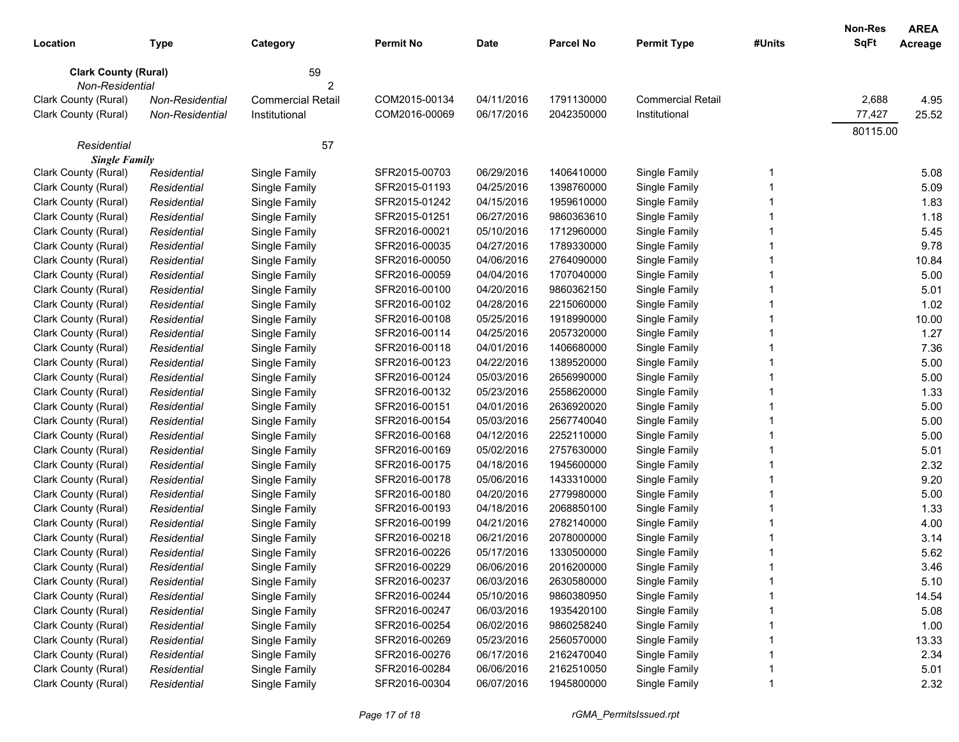|                             |                        |                          |                  |            |                  |                          |        | Non-Res     | <b>AREA</b> |
|-----------------------------|------------------------|--------------------------|------------------|------------|------------------|--------------------------|--------|-------------|-------------|
| Location                    | Type                   | Category                 | <b>Permit No</b> | Date       | <b>Parcel No</b> | <b>Permit Type</b>       | #Units | <b>SqFt</b> | Acreage     |
| <b>Clark County (Rural)</b> |                        | 59                       |                  |            |                  |                          |        |             |             |
| Non-Residential             |                        | 2                        |                  |            |                  |                          |        |             |             |
| Clark County (Rural)        | <b>Non-Residential</b> | <b>Commercial Retail</b> | COM2015-00134    | 04/11/2016 | 1791130000       | <b>Commercial Retail</b> |        | 2,688       | 4.95        |
| Clark County (Rural)        | Non-Residential        | Institutional            | COM2016-00069    | 06/17/2016 | 2042350000       | Institutional            |        | 77,427      | 25.52       |
|                             |                        |                          |                  |            |                  |                          |        | 80115.00    |             |
| Residential                 |                        | 57                       |                  |            |                  |                          |        |             |             |
| <b>Single Family</b>        |                        |                          |                  |            |                  |                          |        |             |             |
| Clark County (Rural)        | Residential            | Single Family            | SFR2015-00703    | 06/29/2016 | 1406410000       | Single Family            | 1      |             | 5.08        |
| Clark County (Rural)        | Residential            | Single Family            | SFR2015-01193    | 04/25/2016 | 1398760000       | Single Family            |        |             | 5.09        |
| Clark County (Rural)        | Residential            | Single Family            | SFR2015-01242    | 04/15/2016 | 1959610000       | Single Family            |        |             | 1.83        |
| Clark County (Rural)        | Residential            | Single Family            | SFR2015-01251    | 06/27/2016 | 9860363610       | Single Family            |        |             | 1.18        |
| Clark County (Rural)        | Residential            | Single Family            | SFR2016-00021    | 05/10/2016 | 1712960000       | Single Family            |        |             | 5.45        |
| Clark County (Rural)        | Residential            | Single Family            | SFR2016-00035    | 04/27/2016 | 1789330000       | Single Family            |        |             | 9.78        |
| Clark County (Rural)        | Residential            | Single Family            | SFR2016-00050    | 04/06/2016 | 2764090000       | Single Family            |        |             | 10.84       |
| Clark County (Rural)        | Residential            | Single Family            | SFR2016-00059    | 04/04/2016 | 1707040000       | Single Family            |        |             | 5.00        |
| Clark County (Rural)        | Residential            | Single Family            | SFR2016-00100    | 04/20/2016 | 9860362150       | Single Family            |        |             | 5.01        |
| Clark County (Rural)        | Residential            | Single Family            | SFR2016-00102    | 04/28/2016 | 2215060000       | Single Family            |        |             | 1.02        |
| Clark County (Rural)        | Residential            | Single Family            | SFR2016-00108    | 05/25/2016 | 1918990000       | Single Family            |        |             | 10.00       |
| Clark County (Rural)        | Residential            | Single Family            | SFR2016-00114    | 04/25/2016 | 2057320000       | Single Family            |        |             | 1.27        |
| Clark County (Rural)        | Residential            | Single Family            | SFR2016-00118    | 04/01/2016 | 1406680000       | Single Family            |        |             | 7.36        |
| Clark County (Rural)        | Residential            | Single Family            | SFR2016-00123    | 04/22/2016 | 1389520000       | Single Family            |        |             | 5.00        |
| Clark County (Rural)        | Residential            | Single Family            | SFR2016-00124    | 05/03/2016 | 2656990000       | Single Family            |        |             | 5.00        |
| Clark County (Rural)        | Residential            | Single Family            | SFR2016-00132    | 05/23/2016 | 2558620000       | Single Family            |        |             | 1.33        |
| Clark County (Rural)        | Residential            | Single Family            | SFR2016-00151    | 04/01/2016 | 2636920020       | Single Family            |        |             | 5.00        |
| Clark County (Rural)        | Residential            | Single Family            | SFR2016-00154    | 05/03/2016 | 2567740040       | Single Family            |        |             | 5.00        |
| Clark County (Rural)        | Residential            | Single Family            | SFR2016-00168    | 04/12/2016 | 2252110000       | Single Family            |        |             | 5.00        |
| Clark County (Rural)        | Residential            | Single Family            | SFR2016-00169    | 05/02/2016 | 2757630000       | Single Family            |        |             | 5.01        |
| Clark County (Rural)        | Residential            | Single Family            | SFR2016-00175    | 04/18/2016 | 1945600000       | Single Family            |        |             | 2.32        |
| Clark County (Rural)        | Residential            | Single Family            | SFR2016-00178    | 05/06/2016 | 1433310000       | Single Family            |        |             | 9.20        |
| Clark County (Rural)        | Residential            | Single Family            | SFR2016-00180    | 04/20/2016 | 2779980000       | Single Family            |        |             | 5.00        |
| Clark County (Rural)        | Residential            | Single Family            | SFR2016-00193    | 04/18/2016 | 2068850100       | Single Family            |        |             | 1.33        |
| Clark County (Rural)        | Residential            | Single Family            | SFR2016-00199    | 04/21/2016 | 2782140000       | Single Family            |        |             | 4.00        |
| Clark County (Rural)        | Residential            | Single Family            | SFR2016-00218    | 06/21/2016 | 2078000000       | Single Family            |        |             | 3.14        |
| Clark County (Rural)        | Residential            | Single Family            | SFR2016-00226    | 05/17/2016 | 1330500000       | Single Family            |        |             | 5.62        |
| Clark County (Rural)        | Residential            | Single Family            | SFR2016-00229    | 06/06/2016 | 2016200000       | Single Family            |        |             | 3.46        |
| Clark County (Rural)        | Residential            | Single Family            | SFR2016-00237    | 06/03/2016 | 2630580000       | Single Family            | 1      |             | 5.10        |
| Clark County (Rural)        | Residential            | Single Family            | SFR2016-00244    | 05/10/2016 | 9860380950       | Single Family            |        |             | 14.54       |
| Clark County (Rural)        | Residential            | Single Family            | SFR2016-00247    | 06/03/2016 | 1935420100       | Single Family            |        |             | 5.08        |
| Clark County (Rural)        | Residential            | Single Family            | SFR2016-00254    | 06/02/2016 | 9860258240       | Single Family            |        |             | 1.00        |
| Clark County (Rural)        | Residential            | Single Family            | SFR2016-00269    | 05/23/2016 | 2560570000       | Single Family            |        |             | 13.33       |
| Clark County (Rural)        | Residential            | Single Family            | SFR2016-00276    | 06/17/2016 | 2162470040       | Single Family            |        |             | 2.34        |
| Clark County (Rural)        | Residential            | Single Family            | SFR2016-00284    | 06/06/2016 | 2162510050       | Single Family            |        |             | 5.01        |
| Clark County (Rural)        | Residential            | Single Family            | SFR2016-00304    | 06/07/2016 | 1945800000       | Single Family            |        |             | 2.32        |